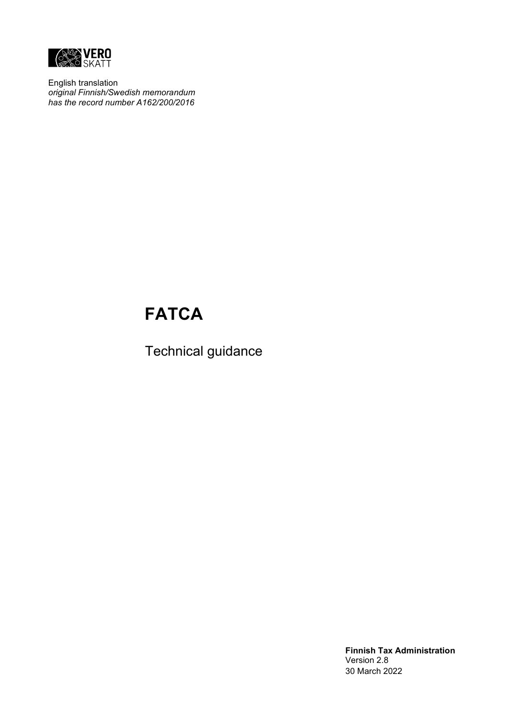

English translation *original Finnish/Swedish memorandum has the record number A162/200/2016*

# **FATCA**

Technical guidance

**Finnish Tax Administration** Version 2.8 30 March 2022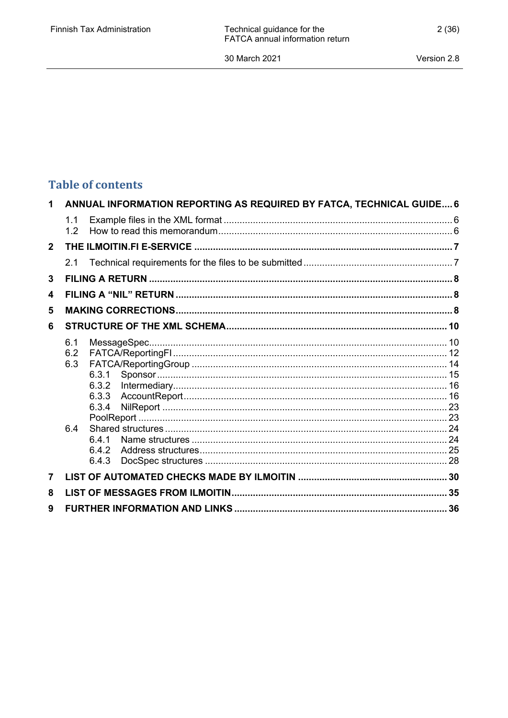## **Table of contents**

| 1              |                   | ANNUAL INFORMATION REPORTING AS REQUIRED BY FATCA, TECHNICAL GUIDE 6 |  |
|----------------|-------------------|----------------------------------------------------------------------|--|
|                | 1.1<br>1.2        |                                                                      |  |
| $\overline{2}$ |                   |                                                                      |  |
|                | 21                |                                                                      |  |
| 3              |                   |                                                                      |  |
| 4              |                   |                                                                      |  |
| 5              |                   |                                                                      |  |
| 6              |                   |                                                                      |  |
|                | 6.1<br>6.2<br>6.3 | 6.3.1<br>6.3.2<br>6.3.3<br>6.3.4                                     |  |
|                | 6.4               | 641<br>6.4.2<br>6.4.3                                                |  |
| 7              |                   |                                                                      |  |
| 8              |                   |                                                                      |  |
| 9              |                   |                                                                      |  |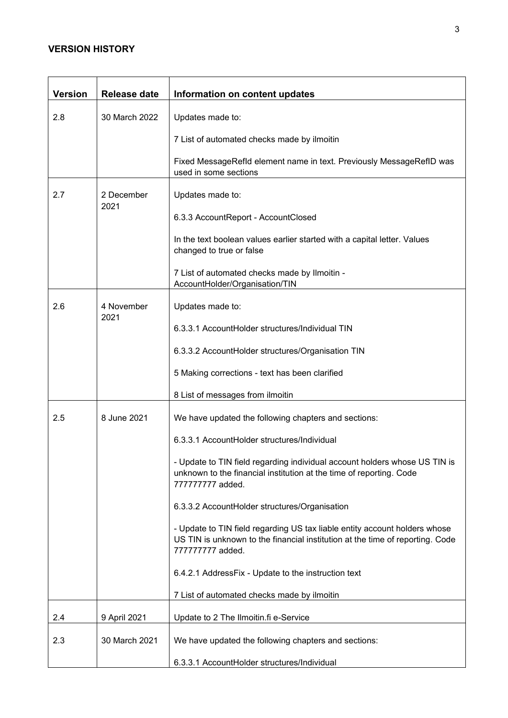### **VERSION HISTORY**

| <b>Version</b> | <b>Release date</b> | Information on content updates                                                                                                                                                 |  |  |  |
|----------------|---------------------|--------------------------------------------------------------------------------------------------------------------------------------------------------------------------------|--|--|--|
| 2.8            | 30 March 2022       | Updates made to:                                                                                                                                                               |  |  |  |
|                |                     | 7 List of automated checks made by ilmoitin                                                                                                                                    |  |  |  |
|                |                     | Fixed MessageRefld element name in text. Previously MessageRefID was<br>used in some sections                                                                                  |  |  |  |
| 2.7            | 2 December<br>2021  | Updates made to:                                                                                                                                                               |  |  |  |
|                |                     | 6.3.3 AccountReport - AccountClosed                                                                                                                                            |  |  |  |
|                |                     | In the text boolean values earlier started with a capital letter. Values<br>changed to true or false                                                                           |  |  |  |
|                |                     | 7 List of automated checks made by Ilmoitin -<br>AccountHolder/Organisation/TIN                                                                                                |  |  |  |
| 2.6            | 4 November          | Updates made to:                                                                                                                                                               |  |  |  |
|                | 2021                | 6.3.3.1 AccountHolder structures/Individual TIN                                                                                                                                |  |  |  |
|                |                     | 6.3.3.2 AccountHolder structures/Organisation TIN                                                                                                                              |  |  |  |
|                |                     | 5 Making corrections - text has been clarified                                                                                                                                 |  |  |  |
|                |                     | 8 List of messages from ilmoitin                                                                                                                                               |  |  |  |
| 2.5            | 8 June 2021         | We have updated the following chapters and sections:                                                                                                                           |  |  |  |
|                |                     | 6.3.3.1 AccountHolder structures/Individual                                                                                                                                    |  |  |  |
|                |                     | - Update to TIN field regarding individual account holders whose US TIN is<br>unknown to the financial institution at the time of reporting. Code<br>77777777 added.           |  |  |  |
|                |                     | 6.3.3.2 AccountHolder structures/Organisation                                                                                                                                  |  |  |  |
|                |                     | - Update to TIN field regarding US tax liable entity account holders whose<br>US TIN is unknown to the financial institution at the time of reporting. Code<br>77777777 added. |  |  |  |
|                |                     | 6.4.2.1 AddressFix - Update to the instruction text                                                                                                                            |  |  |  |
|                |                     | 7 List of automated checks made by ilmoitin                                                                                                                                    |  |  |  |
| 2.4            | 9 April 2021        | Update to 2 The Ilmoitin.fi e-Service                                                                                                                                          |  |  |  |
| 2.3            | 30 March 2021       | We have updated the following chapters and sections:                                                                                                                           |  |  |  |
|                |                     | 6.3.3.1 AccountHolder structures/Individual                                                                                                                                    |  |  |  |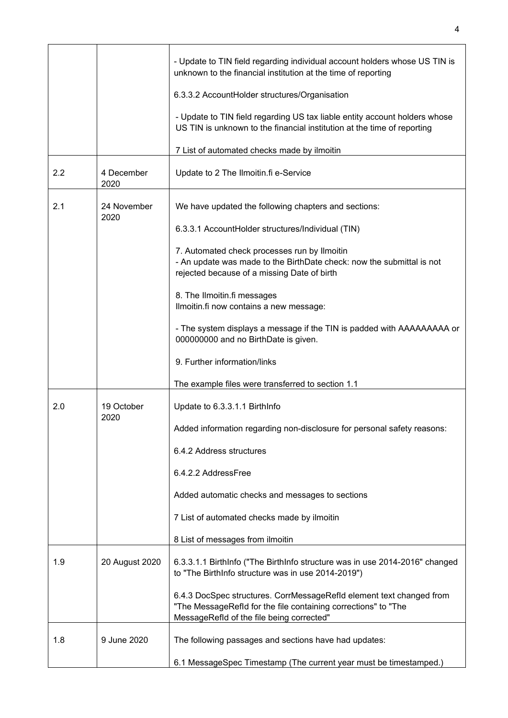|     |                     | - Update to TIN field regarding individual account holders whose US TIN is<br>unknown to the financial institution at the time of reporting                                         |
|-----|---------------------|-------------------------------------------------------------------------------------------------------------------------------------------------------------------------------------|
|     |                     | 6.3.3.2 AccountHolder structures/Organisation                                                                                                                                       |
|     |                     | - Update to TIN field regarding US tax liable entity account holders whose<br>US TIN is unknown to the financial institution at the time of reporting                               |
|     |                     | 7 List of automated checks made by ilmoitin                                                                                                                                         |
| 2.2 | 4 December<br>2020  | Update to 2 The Ilmoitin.fi e-Service                                                                                                                                               |
| 2.1 | 24 November<br>2020 | We have updated the following chapters and sections:                                                                                                                                |
|     |                     | 6.3.3.1 AccountHolder structures/Individual (TIN)                                                                                                                                   |
|     |                     | 7. Automated check processes run by Ilmoitin<br>- An update was made to the BirthDate check: now the submittal is not<br>rejected because of a missing Date of birth                |
|     |                     | 8. The Ilmoitin.fi messages<br>Ilmoitin.fi now contains a new message:                                                                                                              |
|     |                     | - The system displays a message if the TIN is padded with AAAAAAAAA or<br>000000000 and no BirthDate is given.                                                                      |
|     |                     | 9. Further information/links                                                                                                                                                        |
|     |                     | The example files were transferred to section 1.1                                                                                                                                   |
| 2.0 | 19 October          | Update to 6.3.3.1.1 BirthInfo                                                                                                                                                       |
|     | 2020                | Added information regarding non-disclosure for personal safety reasons:                                                                                                             |
|     |                     | 6.4.2 Address structures                                                                                                                                                            |
|     |                     | 6.4.2.2 AddressFree                                                                                                                                                                 |
|     |                     | Added automatic checks and messages to sections                                                                                                                                     |
|     |                     | 7 List of automated checks made by ilmoitin                                                                                                                                         |
|     |                     | 8 List of messages from ilmoitin                                                                                                                                                    |
| 1.9 | 20 August 2020      | 6.3.3.1.1 BirthInfo ("The BirthInfo structure was in use 2014-2016" changed<br>to "The BirthInfo structure was in use 2014-2019")                                                   |
|     |                     | 6.4.3 DocSpec structures. CorrMessageRefId element text changed from<br>"The MessageRefId for the file containing corrections" to "The<br>MessageRefld of the file being corrected" |
| 1.8 | 9 June 2020         | The following passages and sections have had updates:                                                                                                                               |
|     |                     | 6.1 MessageSpec Timestamp (The current year must be timestamped.)                                                                                                                   |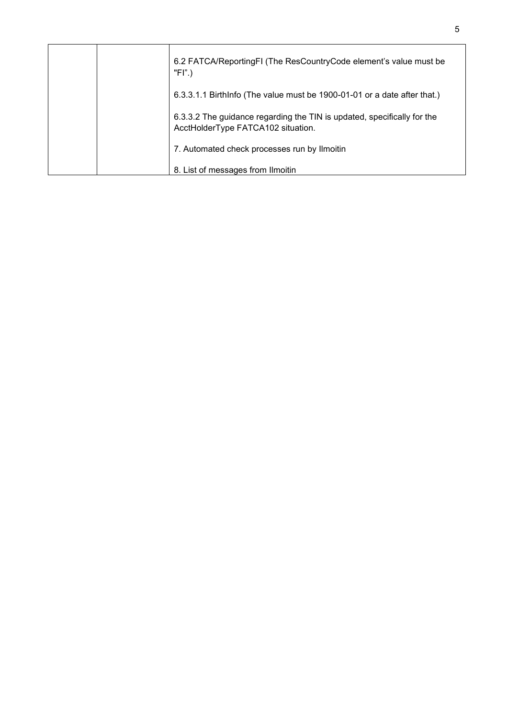|  | 6.2 FATCA/ReportingFI (The ResCountryCode element's value must be<br>"FI".)                                   |
|--|---------------------------------------------------------------------------------------------------------------|
|  | 6.3.3.1.1 Birthinfo (The value must be 1900-01-01 or a date after that.)                                      |
|  | 6.3.3.2 The guidance regarding the TIN is updated, specifically for the<br>AcctHolderType FATCA102 situation. |
|  | 7. Automated check processes run by Ilmoitin                                                                  |
|  | 8. List of messages from Ilmoitin                                                                             |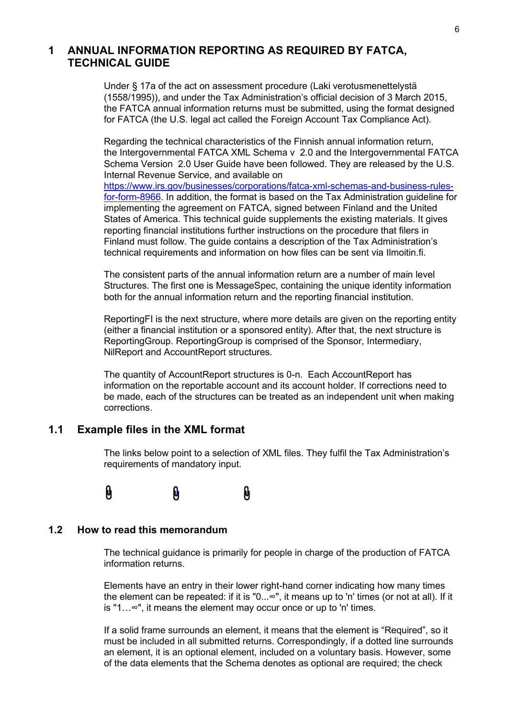### <span id="page-5-0"></span>**1 ANNUAL INFORMATION REPORTING AS REQUIRED BY FATCA, TECHNICAL GUIDE**

Under § 17a of the act on assessment procedure (Laki verotusmenettelystä (1558/1995)), and under the Tax Administration's official decision of 3 March 2015, the FATCA annual information returns must be submitted, using the format designed for FATCA (the U.S. legal act called the Foreign Account Tax Compliance Act).

Regarding the technical characteristics of the Finnish annual information return, the Intergovernmental FATCA XML Schema v 2.0 and the Intergovernmental FATCA Schema Version 2.0 User Guide have been followed. They are released by the U.S. Internal Revenue Service, and available on [https://www.irs.gov/businesses/corporations/fatca-xml-schemas-and-business-rules](https://www.irs.gov/businesses/corporations/fatca-xml-schemas-and-business-rules-for-form-8966)[for-form-8966.](https://www.irs.gov/businesses/corporations/fatca-xml-schemas-and-business-rules-for-form-8966) In addition, the format is based on the Tax Administration guideline for implementing the agreement on FATCA, signed between Finland and the United States of America. This technical guide supplements the existing materials. It gives reporting financial institutions further instructions on the procedure that filers in Finland must follow. The guide contains a description of the Tax Administration's technical requirements and information on how files can be sent via Ilmoitin.fi.

The consistent parts of the annual information return are a number of main level Structures. The first one is MessageSpec, containing the unique identity information both for the annual information return and the reporting financial institution.

ReportingFI is the next structure, where more details are given on the reporting entity (either a financial institution or a sponsored entity). After that, the next structure is ReportingGroup. ReportingGroup is comprised of the Sponsor, Intermediary, NilReport and AccountReport structures.

The quantity of AccountReport structures is 0-n. Each AccountReport has information on the reportable account and its account holder. If corrections need to be made, each of the structures can be treated as an independent unit when making corrections.

### <span id="page-5-1"></span>**1.1 Example files in the XML format**

The links below point to a selection of XML files. They fulfil the Tax Administration's requirements of mandatory input.

#### $\mathbf{\theta}$ 0  $\mathbf{\Omega}$

#### <span id="page-5-2"></span>**1.2 How to read this memorandum**

The technical guidance is primarily for people in charge of the production of FATCA information returns.

Elements have an entry in their lower right-hand corner indicating how many times the element can be repeated: if it is "0...∞", it means up to 'n' times (or not at all). If it is "1…∞", it means the element may occur once or up to 'n' times.

If a solid frame surrounds an element, it means that the element is "Required", so it must be included in all submitted returns. Correspondingly, if a dotted line surrounds an element, it is an optional element, included on a voluntary basis. However, some of the data elements that the Schema denotes as optional are required; the check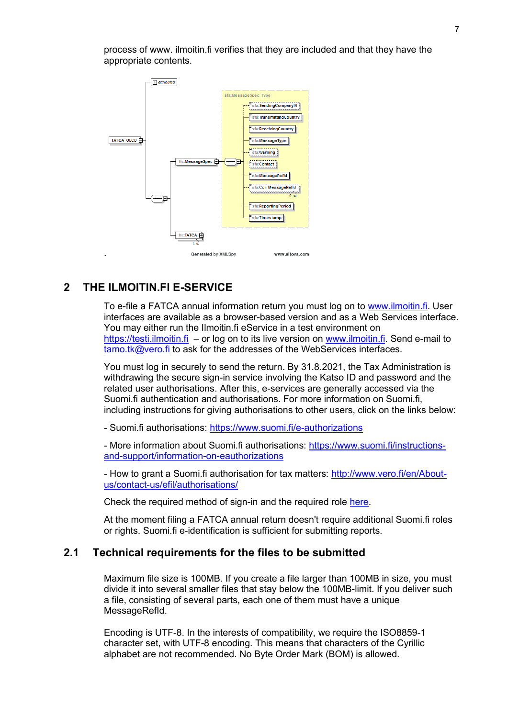

process of www. ilmoitin.fi verifies that they are included and that they have the appropriate contents.

### <span id="page-6-0"></span>**2 THE ILMOITIN.FI E-SERVICE**

To e-file a FATCA annual information return you must log on to [www.ilmoitin.fi.](http://www.ilmoitin.fi/) User interfaces are available as a browser-based version and as a Web Services interface. You may either run the Ilmoitin.fi eService in a test environment on [https://testi.ilmoitin.fi](https://testi.ilmoitin.fi/) – or log on to its live version on [www.ilmoitin.fi.](http://www.ilmoitin.fi/) Send e-mail to tamo.tk@vero.fi to ask for the addresses of the WebServices interfaces.

You must log in securely to send the return. By 31.8.2021, the Tax Administration is withdrawing the secure sign-in service involving the Katso ID and password and the related user authorisations. After this, e-services are generally accessed via the Suomi.fi authentication and authorisations. For more information on Suomi.fi, including instructions for giving authorisations to other users, click on the links below:

- Suomi.fi authorisations:<https://www.suomi.fi/e-authorizations>

- More information about Suomi.fi authorisations: [https://www.suomi.fi/instructions](https://www.suomi.fi/instructions-and-support/information-on-eauthorizations)[and-support/information-on-eauthorizations](https://www.suomi.fi/instructions-and-support/information-on-eauthorizations)

- How to grant a Suomi.fi authorisation for tax matters: [http://www.vero.fi/en/About](http://www.vero.fi/en/About-us/contact-us/efil/authorisations/)[us/contact-us/efil/authorisations/](http://www.vero.fi/en/About-us/contact-us/efil/authorisations/)

Check the required method of sign-in and the required role [here.](https://www.ilmoitin.fi/webtamo/sivut/IlmoituslajiRoolit?tv=FATCA)

At the moment filing a FATCA annual return doesn't require additional Suomi.fi roles or rights. Suomi.fi e-identification is sufficient for submitting reports.

### <span id="page-6-1"></span>**2.1 Technical requirements for the files to be submitted**

Maximum file size is 100MB. If you create a file larger than 100MB in size, you must divide it into several smaller files that stay below the 100MB-limit. If you deliver such a file, consisting of several parts, each one of them must have a unique MessageRefId.

Encoding is UTF-8. In the interests of compatibility, we require the ISO8859-1 character set, with UTF-8 encoding. This means that characters of the Cyrillic alphabet are not recommended. No Byte Order Mark (BOM) is allowed.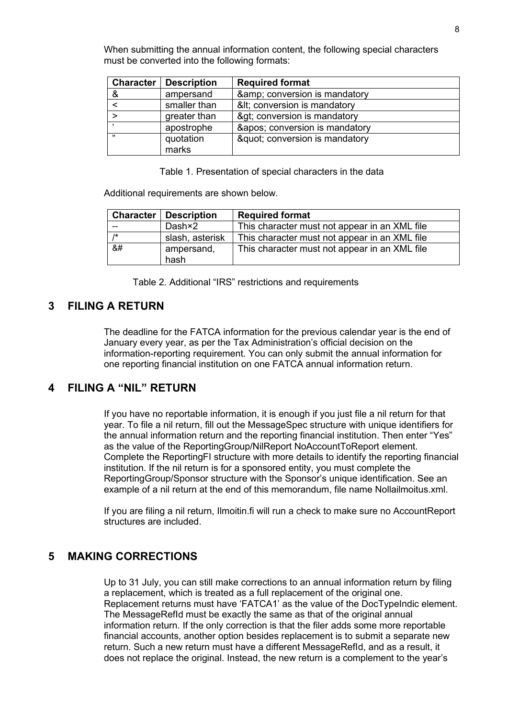When submitting the annual information content, the following special characters must be converted into the following formats:

| <b>Character</b> | <b>Description</b> | <b>Required format</b>      |
|------------------|--------------------|-----------------------------|
| &                | ampersand          | & conversion is mandatory   |
|                  | smaller than       | &It conversion is mandatory |
|                  | greater than       | > conversion is mandatory   |
|                  | apostrophe         | ' conversion is mandatory   |
| ,,               | quotation<br>marks | " conversion is mandatory   |

Table 1. Presentation of special characters in the data

Additional requirements are shown below.

|                                                                                                               | <b>Character   Description</b> | <b>Required format</b>                        |
|---------------------------------------------------------------------------------------------------------------|--------------------------------|-----------------------------------------------|
|                                                                                                               | Dash×2                         | This character must not appear in an XML file |
| $1*$                                                                                                          | slash, asterisk                | This character must not appear in an XML file |
| &#</th><th>ampersand,<br>hash</th><th>This character must not appear in an XML file</th></tr></tbody></table> |                                |                                               |

Table 2. Additional "IRS" restrictions and requirements

### <span id="page-7-0"></span>**3 FILING A RETURN**

The deadline for the FATCA information for the previous calendar year is the end of January every year, as per the Tax Administration's official decision on the information-reporting requirement. You can only submit the annual information for one reporting financial institution on one FATCA annual information return.

### <span id="page-7-1"></span>**4 FILING A "NIL" RETURN**

If you have no reportable information, it is enough if you just file a nil return for that year. To file a nil return, fill out the MessageSpec structure with unique identifiers for the annual information return and the reporting financial institution. Then enter "Yes" as the value of the ReportingGroup/NilReport NoAccountToReport element. Complete the ReportingFI structure with more details to identify the reporting financial institution. If the nil return is for a sponsored entity, you must complete the ReportingGroup/Sponsor structure with the Sponsor's unique identification. See an example of a nil return at the end of this memorandum, file name Nollailmoitus.xml.

If you are filing a nil return, Ilmoitin.fi will run a check to make sure no AccountReport structures are included.

### <span id="page-7-2"></span>**5 MAKING CORRECTIONS**

Up to 31 July, you can still make corrections to an annual information return by filing a replacement, which is treated as a full replacement of the original one. Replacement returns must have 'FATCA1' as the value of the DocTypeIndic element. The MessageRefId must be exactly the same as that of the original annual information return. If the only correction is that the filer adds some more reportable financial accounts, another option besides replacement is to submit a separate new return. Such a new return must have a different MessageRefId, and as a result, it does not replace the original. Instead, the new return is a complement to the year's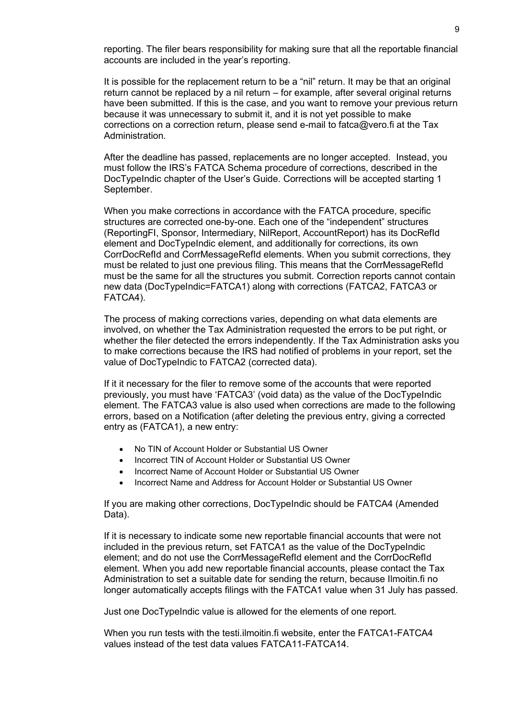reporting. The filer bears responsibility for making sure that all the reportable financial accounts are included in the year's reporting.

It is possible for the replacement return to be a "nil" return. It may be that an original return cannot be replaced by a nil return – for example, after several original returns have been submitted. If this is the case, and you want to remove your previous return because it was unnecessary to submit it, and it is not yet possible to make corrections on a correction return, please send e-mail to fatca@vero.fi at the Tax Administration.

After the deadline has passed, replacements are no longer accepted. Instead, you must follow the IRS's FATCA Schema procedure of corrections, described in the DocTypeIndic chapter of the User's Guide. Corrections will be accepted starting 1 September.

When you make corrections in accordance with the FATCA procedure, specific structures are corrected one-by-one. Each one of the "independent" structures (ReportingFI, Sponsor, Intermediary, NilReport, AccountReport) has its DocRefId element and DocTypeIndic element, and additionally for corrections, its own CorrDocRefId and CorrMessageRefId elements. When you submit corrections, they must be related to just one previous filing. This means that the CorrMessageRefId must be the same for all the structures you submit. Correction reports cannot contain new data (DocTypeIndic=FATCA1) along with corrections (FATCA2, FATCA3 or FATCA4).

The process of making corrections varies, depending on what data elements are involved, on whether the Tax Administration requested the errors to be put right, or whether the filer detected the errors independently. If the Tax Administration asks you to make corrections because the IRS had notified of problems in your report, set the value of DocTypeIndic to FATCA2 (corrected data).

If it it necessary for the filer to remove some of the accounts that were reported previously, you must have 'FATCA3' (void data) as the value of the DocTypeIndic element. The FATCA3 value is also used when corrections are made to the following errors, based on a Notification (after deleting the previous entry, giving a corrected entry as (FATCA1), a new entry:

- No TIN of Account Holder or Substantial US Owner
- Incorrect TIN of Account Holder or Substantial US Owner
- Incorrect Name of Account Holder or Substantial US Owner
- Incorrect Name and Address for Account Holder or Substantial US Owner

If you are making other corrections, DocTypeIndic should be FATCA4 (Amended Data).

If it is necessary to indicate some new reportable financial accounts that were not included in the previous return, set FATCA1 as the value of the DocTypeIndic element; and do not use the CorrMessageRefId element and the CorrDocRefId element. When you add new reportable financial accounts, please contact the Tax Administration to set a suitable date for sending the return, because Ilmoitin.fi no longer automatically accepts filings with the FATCA1 value when 31 July has passed.

Just one DocTypeIndic value is allowed for the elements of one report.

When you run tests with the testi.ilmoitin.fi website, enter the FATCA1-FATCA4 values instead of the test data values FATCA11-FATCA14.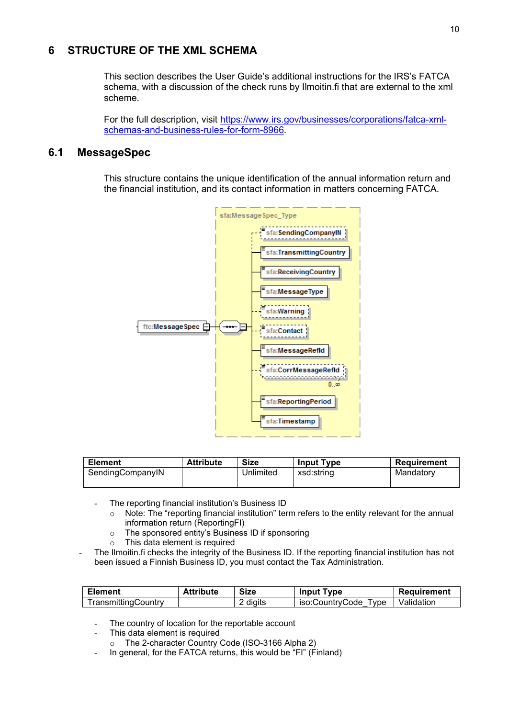### <span id="page-9-0"></span>**6 STRUCTURE OF THE XML SCHEMA**

This section describes the User Guide's additional instructions for the IRS's FATCA schema, with a discussion of the check runs by Ilmoitin.fi that are external to the xml scheme.

For the full description, visit [https://www.irs.gov/businesses/corporations/fatca-xml](https://www.irs.gov/businesses/corporations/fatca-xml-schemas-and-business-rules-for-form-8966)[schemas-and-business-rules-for-form-8966.](https://www.irs.gov/businesses/corporations/fatca-xml-schemas-and-business-rules-for-form-8966)

### <span id="page-9-1"></span>**6.1 MessageSpec**

This structure contains the unique identification of the annual information return and the financial institution, and its contact information in matters concerning FATCA.



| <b>Element</b>   | <b>Attribute</b> | <b>Size</b> | <b>Input Type</b> | Requirement |
|------------------|------------------|-------------|-------------------|-------------|
| SendingCompanyIN |                  | Unlimited   | xsd:string        | Mandatory   |

- The reporting financial institution's Business ID
	- o Note: The "reporting financial institution" term refers to the entity relevant for the annual information return (ReportingFI)
	- o The sponsored entity's Business ID if sponsoring
	- o This data element is required
- The Ilmoitin.fi checks the integrity of the Business ID. If the reporting financial institution has not been issued a Finnish Business ID, you must contact the Tax Administration.

| <b>Element</b>      | <b>Attribute</b> | <b>Size</b> | <b>Input Type</b>    | Requirement         |
|---------------------|------------------|-------------|----------------------|---------------------|
| TransmittingCountrv |                  | 2 digits    | iso:CountrvCode Tvpe | <b>■ Validation</b> |

- The country of location for the reportable account
- This data element is required
	- o The 2-character Country Code (ISO-3166 Alpha 2)
- In general, for the FATCA returns, this would be "FI" (Finland)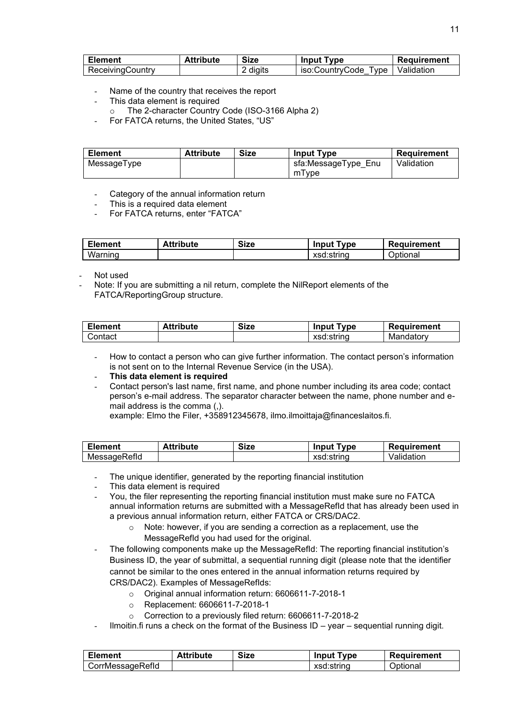| <b>Element</b>   | <b>Attribute</b> | <b>Size</b> | <b>Input Type</b> | Requirement       |
|------------------|------------------|-------------|-------------------|-------------------|
| ReceivingCountry |                  | 2 digits    | iso:CountrvCode   | Type   Validation |

- Name of the country that receives the report
- This data element is required
- o The 2-character Country Code (ISO-3166 Alpha 2)
- For FATCA returns, the United States, "US"

| <b>Element</b> | <b>Attribute</b> | <b>Size</b> | <b>Input Type</b>   | Requirement |
|----------------|------------------|-------------|---------------------|-------------|
| MessageType    |                  |             | sfa:MessageType_Enu | Validation  |
|                |                  |             | mType               |             |

- Category of the annual information return
- This is a required data element
- For FATCA returns, enter "FATCA"

| <b>Element</b> | <b>Attribute</b> | <b>Size</b> | <b>Type</b><br>Input | Requirement |
|----------------|------------------|-------------|----------------------|-------------|
| Warning        |                  |             | xsd:string           | Optional    |

Not used

Note: If you are submitting a nil return, complete the NilReport elements of the FATCA/ReportingGroup structure.

| <b>Element</b> | <b>Attribute</b> | <b>Size</b> | Tvpe<br>Input | Requirement |
|----------------|------------------|-------------|---------------|-------------|
| Contact        |                  |             | xsd:string    | Mandatory   |

- How to contact a person who can give further information. The contact person's information is not sent on to the Internal Revenue Service (in the USA).

#### - **This data element is required**

- Contact person's last name, first name, and phone number including its area code; contact person's e-mail address. The separator character between the name, phone number and email address is the comma (,).

example: Elmo the Filer, +358912345678, ilmo.ilmoittaja@financeslaitos.fi.

| <b>Element</b> | <b>Attribute</b> | Size | Input<br>Type | Requirement |
|----------------|------------------|------|---------------|-------------|
| MessageRefld   |                  |      | xsd:string    | Validation  |

- The unique identifier, generated by the reporting financial institution
- This data element is required
- You, the filer representing the reporting financial institution must make sure no FATCA annual information returns are submitted with a MessageRefId that has already been used in a previous annual information return, either FATCA or CRS/DAC2.
	- o Note: however, if you are sending a correction as a replacement, use the MessageRefId you had used for the original.
- The following components make up the MessageRefId: The reporting financial institution's Business ID, the year of submittal, a sequential running digit (please note that the identifier cannot be similar to the ones entered in the annual information returns required by CRS/DAC2). Examples of MessageRefIds:
	- o Original annual information return: 6606611-7-2018-1
	- o Replacement: 6606611-7-2018-1
	- o Correction to a previously filed return: 6606611-7-2018-2
- Ilmoitin.fi runs a check on the format of the Business  $ID year sequential running digit.$

| <b>Element</b>   | <b>Attribute</b> | <b>Size</b> | <b>Input Type</b> | Requirement |
|------------------|------------------|-------------|-------------------|-------------|
| CorrMessageRefld |                  |             | xsd:string        | Optional    |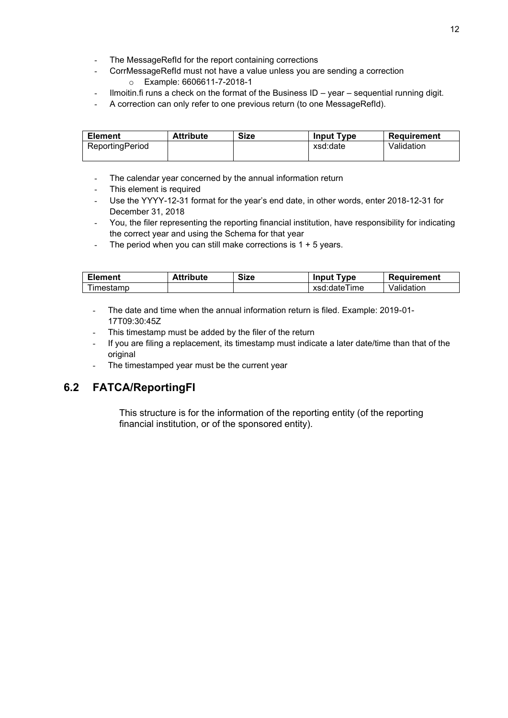- The MessageRefId for the report containing corrections
	- CorrMessageRefId must not have a value unless you are sending a correction
		- o Example: 6606611-7-2018-1
- Ilmoitin.fi runs a check on the format of the Business ID year sequential running digit.
- A correction can only refer to one previous return (to one MessageRefId).

| <b>Element</b>  | <b>Attribute</b> | <b>Size</b> | <b>Input Type</b> | Requirement |
|-----------------|------------------|-------------|-------------------|-------------|
| ReportingPeriod |                  |             | xsd:date          | Validation  |
|                 |                  |             |                   |             |

- The calendar year concerned by the annual information return
- This element is required
- Use the YYYY-12-31 format for the year's end date, in other words, enter 2018-12-31 for December 31, 2018
- You, the filer representing the reporting financial institution, have responsibility for indicating the correct year and using the Schema for that year
- The period when you can still make corrections is  $1 + 5$  years.

| <b>Element</b> | Attribute | <b>Size</b> | <b>Input Type</b> | Requirement |
|----------------|-----------|-------------|-------------------|-------------|
| ⊺imestamp      |           |             | xsd:dateTime      | Validation  |

- The date and time when the annual information return is filed. Example: 2019-01- 17T09:30:45Z
- This timestamp must be added by the filer of the return
- If you are filing a replacement, its timestamp must indicate a later date/time than that of the original
- The timestamped year must be the current year

### <span id="page-11-0"></span>**6.2 FATCA/ReportingFI**

This structure is for the information of the reporting entity (of the reporting financial institution, or of the sponsored entity).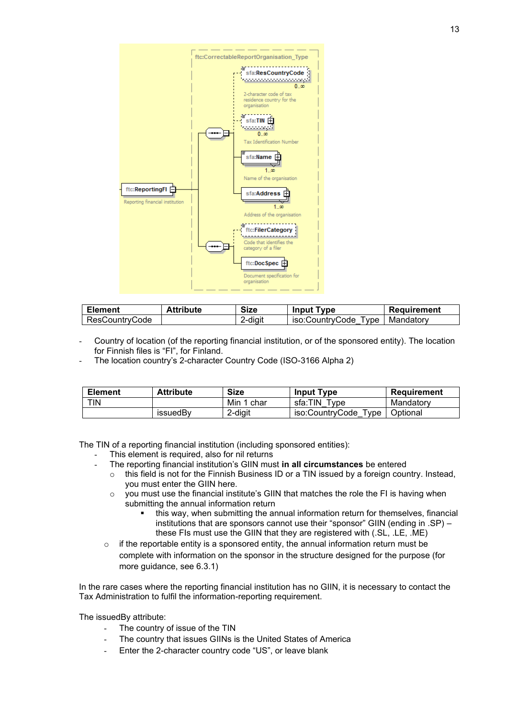

| <b>Element</b> | <b>Attribute</b> | <b>Size</b> | <b>Input Type</b>    | Requirement |
|----------------|------------------|-------------|----------------------|-------------|
| ResCountrvCode |                  | 2-digit     | iso:CountryCode Type | Mandatorv   |

- Country of location (of the reporting financial institution, or of the sponsored entity). The location for Finnish files is "FI", for Finland.
- The location country's 2-character Country Code (ISO-3166 Alpha 2)

| <b>Element</b> | <b>Attribute</b> | <b>Size</b> | <b>Input Type</b>                      | Requirement |
|----------------|------------------|-------------|----------------------------------------|-------------|
| <b>TIN</b>     |                  | Min 1 char  | sfa:TIN<br>Type                        | Mandatory   |
|                | issuedBv         | 2-diait     | iso:CountryCode<br>$^{\mathsf{T}}$ vpe | Optional    |

The TIN of a reporting financial institution (including sponsored entities):

- This element is required, also for nil returns
- The reporting financial institution's GIIN must **in all circumstances** be entered
	- $\circ$  this field is not for the Finnish Business ID or a TIN issued by a foreign country. Instead, you must enter the GIIN here.
		- $\circ$  you must use the financial institute's GIIN that matches the role the FI is having when submitting the annual information return
			- this way, when submitting the annual information return for themselves, financial institutions that are sponsors cannot use their "sponsor" GIIN (ending in .SP) – these FIs must use the GIIN that they are registered with (.SL, .LE, .ME)
	- $\circ$  if the reportable entity is a sponsored entity, the annual information return must be complete with information on the sponsor in the structure designed for the purpose (for more guidance, see 6.3.1)

In the rare cases where the reporting financial institution has no GIIN, it is necessary to contact the Tax Administration to fulfil the information-reporting requirement.

The issuedBy attribute:

- The country of issue of the TIN
- The country that issues GIINs is the United States of America
- Enter the 2-character country code "US", or leave blank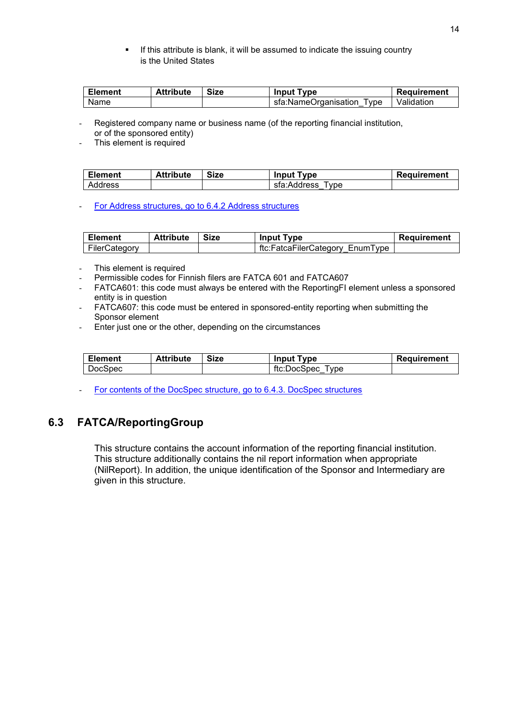**EXED If this attribute is blank, it will be assumed to indicate the issuing country** is the United States

| <b>Element</b> | <b>Attribute</b> | <b>Size</b> | <b>Input Type</b>              | Requirement |
|----------------|------------------|-------------|--------------------------------|-------------|
| Name           |                  |             | sfa:NameOrganisation<br>Type : | Validation  |

Registered company name or business name (of the reporting financial institution,

or of the sponsored entity)

This element is required

| <b>Element</b> | <b>Attribute</b> | <b>Size</b> | <b>Input Type</b>   | Requirement |
|----------------|------------------|-------------|---------------------|-------------|
| Address        |                  |             | sfa:Address<br>Tvpe |             |

[For Address structures, go to 6.4.2 Address structures](#page-24-0)

| <b>Element</b> | <b>Attribute</b> | Size | <b>Input Type</b>               | Requirement |
|----------------|------------------|------|---------------------------------|-------------|
| FilerCategory  |                  |      | ftc:FatcaFilerCategory EnumType |             |

- This element is required
- Permissible codes for Finnish filers are FATCA 601 and FATCA607
- FATCA601: this code must always be entered with the ReportingFI element unless a sponsored entity is in question
- FATCA607: this code must be entered in sponsored-entity reporting when submitting the Sponsor element
- Enter just one or the other, depending on the circumstances

| <b>Element</b> | <b>Attribute</b> | <b>Size</b> | <b>Input Type</b>   | Requirement |
|----------------|------------------|-------------|---------------------|-------------|
| <b>DocSpec</b> |                  |             | ftc:DocSpec<br>Type |             |

For contents of the DocSpec [structure, go to 6.4.3. DocSpec structures](#page-26-0)

### <span id="page-13-0"></span>**6.3 FATCA/ReportingGroup**

This structure contains the account information of the reporting financial institution. This structure additionally contains the nil report information when appropriate (NilReport). In addition, the unique identification of the Sponsor and Intermediary are given in this structure.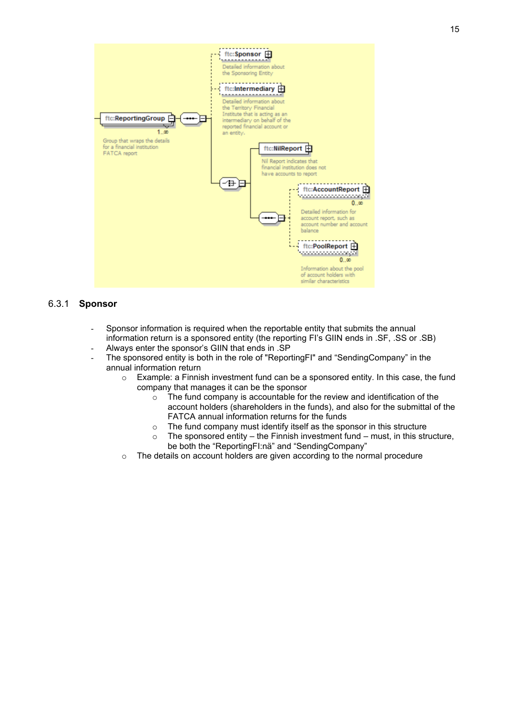

#### <span id="page-14-0"></span>6.3.1 **Sponsor**

- Sponsor information is required when the reportable entity that submits the annual information return is a sponsored entity (the reporting FI's GIIN ends in .SF, .SS or .SB)
- Always enter the sponsor's GIIN that ends in .SP
- The sponsored entity is both in the role of "ReportingFI" and "SendingCompany" in the annual information return
	- $\circ$  Example: a Finnish investment fund can be a sponsored entity. In this case, the fund company that manages it can be the sponsor
		- o The fund company is accountable for the review and identification of the account holders (shareholders in the funds), and also for the submittal of the FATCA annual information returns for the funds
		- o The fund company must identify itself as the sponsor in this structure
		- $\circ$  The sponsored entity the Finnish investment fund must, in this structure, be both the "ReportingFI:nä" and "SendingCompany"
	- $\circ$  The details on account holders are given according to the normal procedure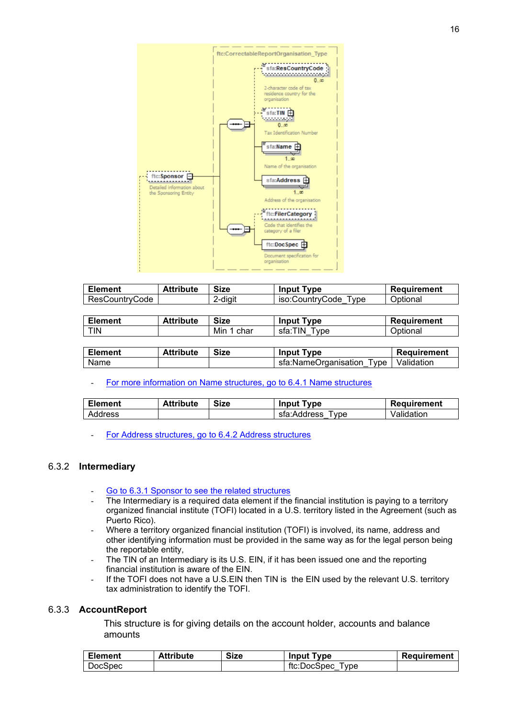

| <b>Element</b> | <b>Attribute</b> | <b>Size</b> | <b>Input Type</b>       | Requirement |
|----------------|------------------|-------------|-------------------------|-------------|
| ResCountryCode |                  | 2-digit     | iso:CountrvCode<br>Type | Optional    |

| <b>Element</b> | <b>Attribute</b> | <b>Size</b> | <b>Input Type</b>      | Requirement |
|----------------|------------------|-------------|------------------------|-------------|
| <b>TIN</b>     |                  | Min<br>char | sfa:TIN<br><b>Type</b> | Optional    |

| Element | <b>Attribute</b> | <b>Size</b> | <b>Input Type</b>                      | Requirement |
|---------|------------------|-------------|----------------------------------------|-------------|
| Name    |                  |             | sfa:NameOrganisation Type   Validation |             |

#### [For more information on Name structures, go to 6.4.1 Name structures](#page-23-1)

| <b>Element</b> | <b>Attribute</b> | <b>Size</b> | <b>Input Type</b>   | Requirement |
|----------------|------------------|-------------|---------------------|-------------|
| Address        |                  |             | sfa:Address<br>'vpe | Validation  |

- [For Address structures, go to 6.4.2 Address structures](#page-24-0)

#### <span id="page-15-0"></span>6.3.2 **Intermediary**

- [Go to 6.3.1 Sponsor to see the related structures](#page-14-0)
- The Intermediary is a required data element if the financial institution is paying to a territory organized financial institute (TOFI) located in a U.S. territory listed in the Agreement (such as Puerto Rico).
- Where a territory organized financial institution (TOFI) is involved, its name, address and other identifying information must be provided in the same way as for the legal person being the reportable entity,
- The TIN of an Intermediary is its U.S. EIN, if it has been issued one and the reporting financial institution is aware of the EIN.
- If the TOFI does not have a U.S.EIN then TIN is the EIN used by the relevant U.S. territory tax administration to identify the TOFI.

#### <span id="page-15-1"></span>6.3.3 **AccountReport**

This structure is for giving details on the account holder, accounts and balance amounts

| <b>Element</b> | <b>Attribute</b> | <b>Size</b> | <b>Input Type</b>                              | <b>Requirement</b> |
|----------------|------------------|-------------|------------------------------------------------|--------------------|
| DocSpec        |                  |             | ftc:DocSpec<br>vpe<br>$\overline{\phantom{a}}$ |                    |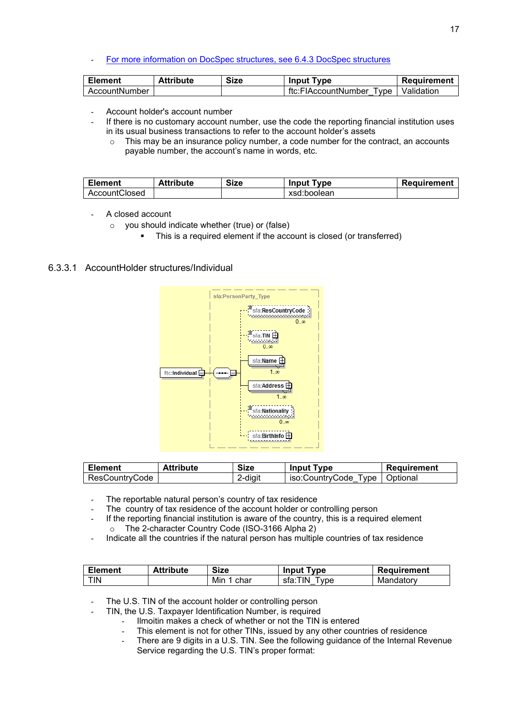#### - [For more information on DocSpec structures, see 6.4.3 DocSpec structures](#page-26-0)

| <b>Element</b> | Attribute | <b>Size</b> | <b>Input Type</b>            | Requirement |
|----------------|-----------|-------------|------------------------------|-------------|
| AccountNumber  |           |             | ftc:FIAccountNumber<br>Ivpe. | Validation  |

- Account holder's account number
- If there is no customary account number, use the code the reporting financial institution uses in its usual business transactions to refer to the account holder's assets
	- $\circ$  This may be an insurance policy number, a code number for the contract, an accounts payable number, the account's name in words, etc.

| <b>Element</b> | <b>Attribute</b> | <b>Size</b> | <b>Input Type</b> | Requirement |
|----------------|------------------|-------------|-------------------|-------------|
| AccountClosed  |                  |             | xsd:boolean       |             |

- <span id="page-16-0"></span>A closed account
	- o you should indicate whether (true) or (false)
		- This is a required element if the account is closed (or transferred)

#### 6.3.3.1 AccountHolder structures/Individual



| <b>Element</b> | <b>Attribute</b> | <b>Size</b> | <b>Input Type</b>       | Requirement |
|----------------|------------------|-------------|-------------------------|-------------|
| ResCountryCode |                  | diait?      | iso:CountrvCode<br>Tvpe | ∣ Optional  |

- The reportable natural person's country of tax residence
- The country of tax residence of the account holder or controlling person
- If the reporting financial institution is aware of the country, this is a required element o The 2-character Country Code (ISO-3166 Alpha 2)
- Indicate all the countries if the natural person has multiple countries of tax residence

| <b>Element</b> | <b>Attribute</b> | <b>Size</b> | <b>Input Type</b>    | Requirement |
|----------------|------------------|-------------|----------------------|-------------|
| <b>TIN</b>     |                  | Mir<br>char | TIN.<br>'vpe<br>sta: | Mandatory   |

- The U.S. TIN of the account holder or controlling person
	- TIN, the U.S. Taxpayer Identification Number, is required
		- Ilmoitin makes a check of whether or not the TIN is entered
			- This element is not for other TINs, issued by any other countries of residence
		- There are 9 digits in a U.S. TIN. See the following guidance of the Internal Revenue Service regarding the U.S. TIN's proper format: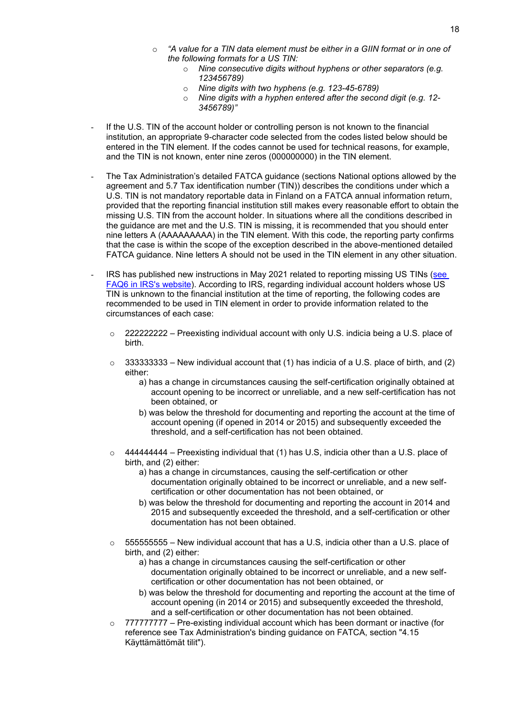- o *"A value for a TIN data element must be either in a GIIN format or in one of the following formats for a US TIN:*
	- o *Nine consecutive digits without hyphens or other separators (e.g. 123456789)*
	- o *Nine digits with two hyphens (e.g. 123-45-6789)*
	- o *Nine digits with a hyphen entered after the second digit (e.g. 12- 3456789)"*
- If the U.S. TIN of the account holder or controlling person is not known to the financial institution, an appropriate 9-character code selected from the codes listed below should be entered in the TIN element. If the codes cannot be used for technical reasons, for example, and the TIN is not known, enter nine zeros (000000000) in the TIN element.
- The Tax Administration's detailed FATCA guidance (sections National options allowed by the agreement and 5.7 Tax identification number (TIN)) describes the conditions under which a U.S. TIN is not mandatory reportable data in Finland on a FATCA annual information return, provided that the reporting financial institution still makes every reasonable effort to obtain the missing U.S. TIN from the account holder. In situations where all the conditions described in the guidance are met and the U.S. TIN is missing, it is recommended that you should enter nine letters A (AAAAAAAAA) in the TIN element. With this code, the reporting party confirms that the case is within the scope of the exception described in the above-mentioned detailed FATCA guidance. Nine letters A should not be used in the TIN element in any other situation.
- IRS has published new instructions in May 2021 related to reporting missing US TINs (see [FAQ6 in IRS's website\)](https://www.irs.gov/businesses/corporations/frequently-asked-questions-faqs-fatca-compliance-legal#reporting). According to IRS, regarding individual account holders whose US TIN is unknown to the financial institution at the time of reporting, the following codes are recommended to be used in TIN element in order to provide information related to the circumstances of each case:
	- $\degree$  222222222 Preexisting individual account with only U.S. indicia being a U.S. place of birth.
	- $\circ$  333333333 New individual account that (1) has indicia of a U.S. place of birth, and (2) either:
		- a) has a change in circumstances causing the self-certification originally obtained at account opening to be incorrect or unreliable, and a new self-certification has not been obtained, or
		- b) was below the threshold for documenting and reporting the account at the time of account opening (if opened in 2014 or 2015) and subsequently exceeded the threshold, and a self-certification has not been obtained.
	- $\circ$  444444444 Preexisting individual that (1) has U.S, indicia other than a U.S. place of birth, and (2) either:
		- a) has a change in circumstances, causing the self-certification or other documentation originally obtained to be incorrect or unreliable, and a new selfcertification or other documentation has not been obtained, or
		- b) was below the threshold for documenting and reporting the account in 2014 and 2015 and subsequently exceeded the threshold, and a self-certification or other documentation has not been obtained.
	- $\circ$  5555555555 New individual account that has a U.S, indicia other than a U.S. place of birth, and (2) either:
		- a) has a change in circumstances causing the self-certification or other documentation originally obtained to be incorrect or unreliable, and a new selfcertification or other documentation has not been obtained, or
		- b) was below the threshold for documenting and reporting the account at the time of account opening (in 2014 or 2015) and subsequently exceeded the threshold, and a self-certification or other documentation has not been obtained.
	- $\degree$  7777777777 Pre-existing individual account which has been dormant or inactive (for reference see Tax Administration's binding guidance on FATCA, section "4.15 Käyttämättömät tilit").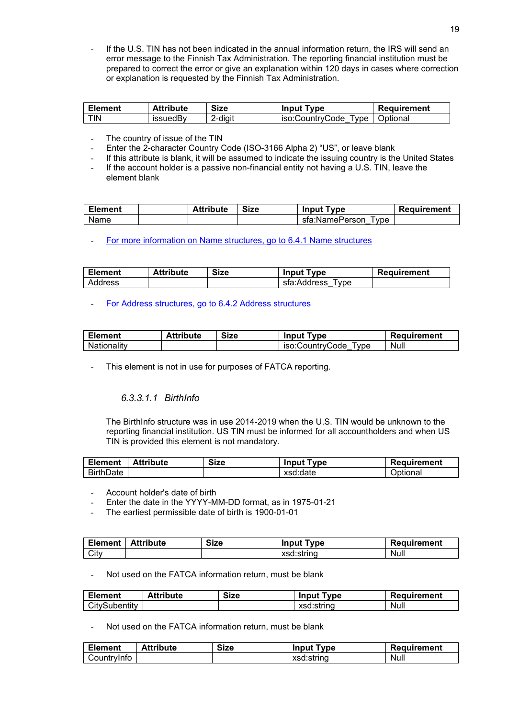If the U.S. TIN has not been indicated in the annual information return, the IRS will send an error message to the Finnish Tax Administration. The reporting financial institution must be prepared to correct the error or give an explanation within 120 days in cases where correction or explanation is requested by the Finnish Tax Administration.

| Element | <b>Attribute</b> | Size    | <b>Input Type</b>    | Requirement |
|---------|------------------|---------|----------------------|-------------|
| TIN     | issuedBv         | ?-diait | iso:CountryCode Type | Optional    |

- The country of issue of the TIN
- Enter the 2-character Country Code (ISO-3166 Alpha 2) "US", or leave blank
- If this attribute is blank, it will be assumed to indicate the issuing country is the United States
- If the account holder is a passive non-financial entity not having a U.S. TIN, leave the element blank

| Element | <b>Attribute</b> | <b>Size</b> | <b>Input Type</b>                  | <b>Requirement</b> |
|---------|------------------|-------------|------------------------------------|--------------------|
| Name    |                  |             | sfa:NamePerson<br>vpe <sup>'</sup> |                    |

[For more information on Name structures, go to 6.4.1 Name structures](#page-23-1)

| <b>Element</b> | <b>Attribute</b> | <b>Size</b> | <b>Input Type</b>  | Requirement |
|----------------|------------------|-------------|--------------------|-------------|
| Address        |                  |             | sfa:Address<br>vpe |             |

[For Address structures, go to 6.4.2 Address structures](#page-24-0)

| <b>Element</b> | <b>Attribute</b> | <b>Size</b> | <b>Input Type</b>      | Requirement |
|----------------|------------------|-------------|------------------------|-------------|
| Nationality    |                  |             | iso:CountrvCode<br>vpe | Null        |

This element is not in use for purposes of FATCA reporting.

#### *6.3.3.1.1 BirthInfo*

The BirthInfo structure was in use 2014-2019 when the U.S. TIN would be unknown to the reporting financial institution. US TIN must be informed for all accountholders and when US TIN is provided this element is not mandatory.

| <b>Element</b>   | Attribute | <b>Size</b> | <b>Input Type</b> | Requirement |
|------------------|-----------|-------------|-------------------|-------------|
| <b>BirthDate</b> |           |             | xsd:date          | Optional    |

- Account holder's date of birth
- Enter the date in the YYYY-MM-DD format, as in 1975-01-21
- The earliest permissible date of birth is 1900-01-01

| <b>Element</b> | <b>Attribute</b> | <b>Size</b> | lnput⊺<br>™vpe | Requirement |
|----------------|------------------|-------------|----------------|-------------|
| City           |                  |             | xsd:string     | Null        |

Not used on the FATCA information return, must be blank

| <b>Element</b> | <b>Attribute</b> | <b>Size</b> | <b>Input Type</b> | Requirement |
|----------------|------------------|-------------|-------------------|-------------|
| CitySubentity  |                  |             | xsd:string        | Null        |

Not used on the FATCA information return, must be blank

| <b>Element</b> | <b>Attribute</b> | <b>Size</b> | <b>' Type</b><br>lnput i | Requirement |
|----------------|------------------|-------------|--------------------------|-------------|
| Countrvinfo    |                  |             | xsd:string               | Null        |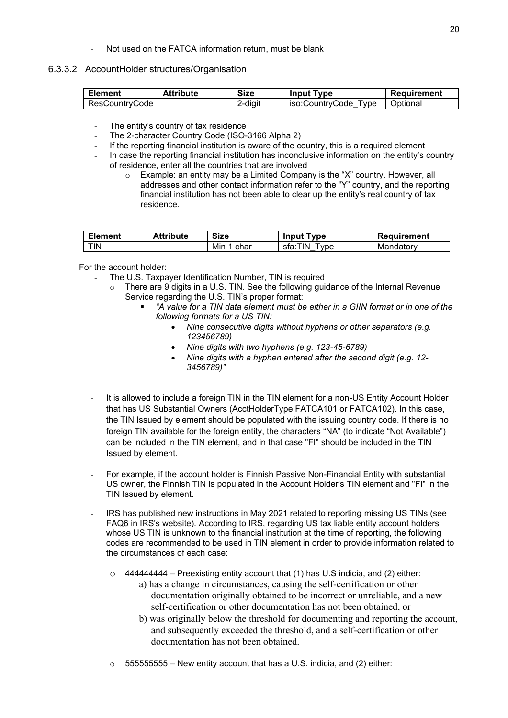Not used on the FATCA information return, must be blank

#### 6.3.3.2 AccountHolder structures/Organisation

| Element        | <b>Attribute</b> | <b>Size</b> | <b>Input Type</b>              | Requirement |
|----------------|------------------|-------------|--------------------------------|-------------|
| ResCountryCode |                  | 2-diait     | iso:CountrvCode<br><b>Type</b> | Optional    |

The entity's country of tax residence

- The 2-character Country Code (ISO-3166 Alpha 2)
- If the reporting financial institution is aware of the country, this is a required element
- In case the reporting financial institution has inconclusive information on the entity's country of residence, enter all the countries that are involved
	- o Example: an entity may be a Limited Company is the "X" country. However, all addresses and other contact information refer to the "Y" country, and the reporting financial institution has not been able to clear up the entity's real country of tax residence.

| Element | <b>Attribute</b> | <b>Size</b>   | <b>Input T</b><br>Type | Requirement |
|---------|------------------|---------------|------------------------|-------------|
| TIN     |                  | Min<br>. char | sfa:TIN<br>l vpe       | Mandatory   |

For the account holder:

- The U.S. Taxpayer Identification Number, TIN is required
	- $\circ$  There are 9 digits in a U.S. TIN. See the following guidance of the Internal Revenue Service regarding the U.S. TIN's proper format:
		- *"A value for a TIN data element must be either in a GIIN format or in one of the following formats for a US TIN:*
			- *Nine consecutive digits without hyphens or other separators (e.g. 123456789)*
			- *Nine digits with two hyphens (e.g. 123-45-6789)*
			- *Nine digits with a hyphen entered after the second digit (e.g. 12- 3456789)"*
- It is allowed to include a foreign TIN in the TIN element for a non-US Entity Account Holder that has US Substantial Owners (AcctHolderType FATCA101 or FATCA102). In this case, the TIN Issued by element should be populated with the issuing country code. If there is no foreign TIN available for the foreign entity, the characters "NA" (to indicate "Not Available") can be included in the TIN element, and in that case "FI" should be included in the TIN Issued by element.
- For example, if the account holder is Finnish Passive Non-Financial Entity with substantial US owner, the Finnish TIN is populated in the Account Holder's TIN element and "FI" in the TIN Issued by element.
- IRS has published new instructions in May 2021 related to reporting missing US TINs (see FAQ6 in IRS's website). According to IRS, regarding US tax liable entity account holders whose US TIN is unknown to the financial institution at the time of reporting, the following codes are recommended to be used in TIN element in order to provide information related to the circumstances of each case:
	- o 444444444 Preexisting entity account that (1) has U.S indicia, and (2) either:
		- a) has a change in circumstances, causing the self-certification or other documentation originally obtained to be incorrect or unreliable, and a new self-certification or other documentation has not been obtained, or
		- b) was originally below the threshold for documenting and reporting the account, and subsequently exceeded the threshold, and a self-certification or other documentation has not been obtained.
	- $\circ$  55555555555 New entity account that has a U.S. indicia, and (2) either: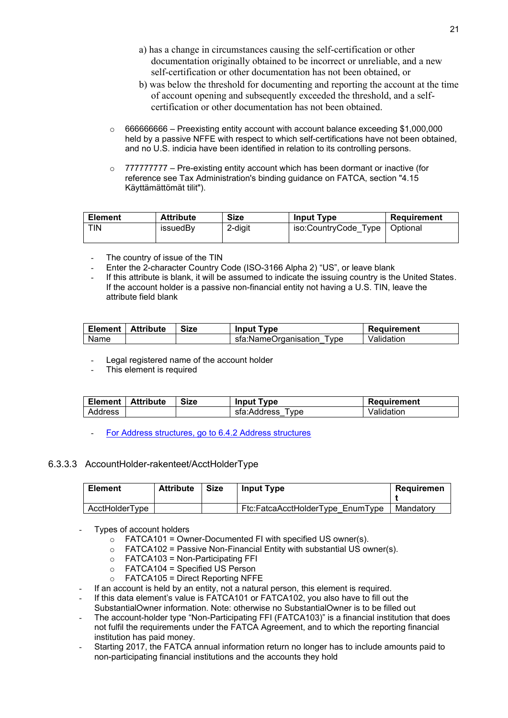- a) has a change in circumstances causing the self-certification or other documentation originally obtained to be incorrect or unreliable, and a new self-certification or other documentation has not been obtained, or
- b) was below the threshold for documenting and reporting the account at the time of account opening and subsequently exceeded the threshold, and a selfcertification or other documentation has not been obtained.
- $\circ$  666666666 Preexisting entity account with account balance exceeding \$1,000,000 held by a passive NFFE with respect to which self-certifications have not been obtained, and no U.S. indicia have been identified in relation to its controlling persons.
- $\circ$  777777777 Pre-existing entity account which has been dormant or inactive (for reference see Tax Administration's binding guidance on FATCA, section "4.15 Käyttämättömät tilit").

| <b>Element</b> | <b>Attribute</b> | <b>Size</b> | <b>Input Type</b>    | Requirement |
|----------------|------------------|-------------|----------------------|-------------|
| <b>TIN</b>     | issuedBy         | 2-digit     | iso:CountryCode Type | Optional    |

- The country of issue of the TIN
- Enter the 2-character Country Code (ISO-3166 Alpha 2) "US", or leave blank
- If this attribute is blank, it will be assumed to indicate the issuing country is the United States. If the account holder is a passive non-financial entity not having a U.S. TIN, leave the attribute field blank

|      | Element   Attribute | <b>Size</b> | <b>Input Type</b>            | Requirement |
|------|---------------------|-------------|------------------------------|-------------|
| Name |                     |             | sfa:NameOrganisation<br>Type | Validation  |

- Legal registered name of the account holder
- This element is required

|         | Element   Attribute | <b>Size</b> | <b>Input Type</b>   | Requirement |
|---------|---------------------|-------------|---------------------|-------------|
| Address |                     |             | sfa:Address<br>Type | Validation  |

[For Address structures, go to 6.4.2 Address structures](#page-24-0)

#### 6.3.3.3 AccountHolder-rakenteet/AcctHolderType

| <b>Element</b> | <b>Attribute</b> | <b>Size</b> | <b>Input Type</b>                | Reauiremen |
|----------------|------------------|-------------|----------------------------------|------------|
| AcctHolderTvpe |                  |             | Ftc:FatcaAcctHolderTvpe EnumTvpe | Mandatorv  |

- Types of account holders
	- $\circ$  FATCA101 = Owner-Documented FI with specified US owner(s).
	- $\circ$  FATCA102 = Passive Non-Financial Entity with substantial US owner(s).
	- $\circ$  FATCA103 = Non-Participating FFI
	- $\circ$  FATCA104 = Specified US Person
	- $\circ$  FATCA105 = Direct Reporting NFFE
- If an account is held by an entity, not a natural person, this element is required.
- If this data element's value is FATCA101 or FATCA102, you also have to fill out the SubstantialOwner information. Note: otherwise no SubstantialOwner is to be filled out
- The account-holder type "Non-Participating FFI (FATCA103)" is a financial institution that does not fulfil the requirements under the FATCA Agreement, and to which the reporting financial institution has paid money.
- Starting 2017, the FATCA annual information return no longer has to include amounts paid to non-participating financial institutions and the accounts they hold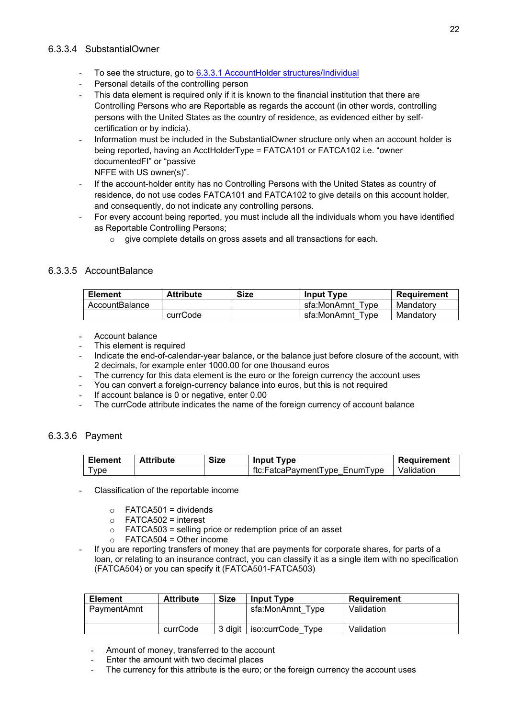#### 6.3.3.4 SubstantialOwner

- To see the structure, go to [6.3.3.1 AccountHolder structures/Individual](#page-16-0)
- Personal details of the controlling person
- This data element is required only if it is known to the financial institution that there are Controlling Persons who are Reportable as regards the account (in other words, controlling persons with the United States as the country of residence, as evidenced either by selfcertification or by indicia).
- Information must be included in the SubstantialOwner structure only when an account holder is being reported, having an AcctHolderType = FATCA101 or FATCA102 i.e. "owner documentedFI" or "passive

NFFE with US owner(s)".

- If the account-holder entity has no Controlling Persons with the United States as country of residence, do not use codes FATCA101 and FATCA102 to give details on this account holder, and consequently, do not indicate any controlling persons.
- For every account being reported, you must include all the individuals whom you have identified as Reportable Controlling Persons;
	- o give complete details on gross assets and all transactions for each.

#### 6.3.3.5 AccountBalance

| <b>Element</b> | <b>Attribute</b> | <b>Size</b> | <b>Input Type</b>     | Requirement |
|----------------|------------------|-------------|-----------------------|-------------|
| AccountBalance |                  |             | sfa:MonAmnt Tvpe      | Mandatory   |
|                | currCode         |             | sfa:MonAmnt<br>™ Tvpe | Mandatory   |

- Account balance
- This element is required
- Indicate the end-of-calendar-year balance, or the balance just before closure of the account, with 2 decimals, for example enter 1000.00 for one thousand euros
- The currency for this data element is the euro or the foreign currency the account uses
- You can convert a foreign-currency balance into euros, but this is not required
- If account balance is 0 or negative, enter 0.00
- The currCode attribute indicates the name of the foreign currency of account balance

#### 6.3.3.6 Payment

| <b>Element</b> | <b>Attribute</b> | <b>Size</b> | <b>Input Type</b>             | Requirement |
|----------------|------------------|-------------|-------------------------------|-------------|
| 'vpe           |                  |             | ftc:FatcaPavmentTvpe EnumTvpe | Validation  |

- Classification of the reportable income
	- $\circ$  FATCA501 = dividends
	- $\circ$  FATCA502 = interest
	- o FATCA503 = selling price or redemption price of an asset
	- $\circ$  FATCA504 = Other income
- If you are reporting transfers of money that are payments for corporate shares, for parts of a loan, or relating to an insurance contract, you can classify it as a single item with no specification (FATCA504) or you can specify it (FATCA501-FATCA503)

| <b>Element</b> | <b>Attribute</b> | <b>Size</b> | <b>Input Type</b>    | Requirement |
|----------------|------------------|-------------|----------------------|-------------|
| PaymentAmnt    |                  |             | sfa:MonAmnt Tvpe     | Validation  |
|                | currCode         | 3 diait     | iso:currCode<br>Tvpe | Validation  |

- Amount of money, transferred to the account
- Enter the amount with two decimal places
- The currency for this attribute is the euro; or the foreign currency the account uses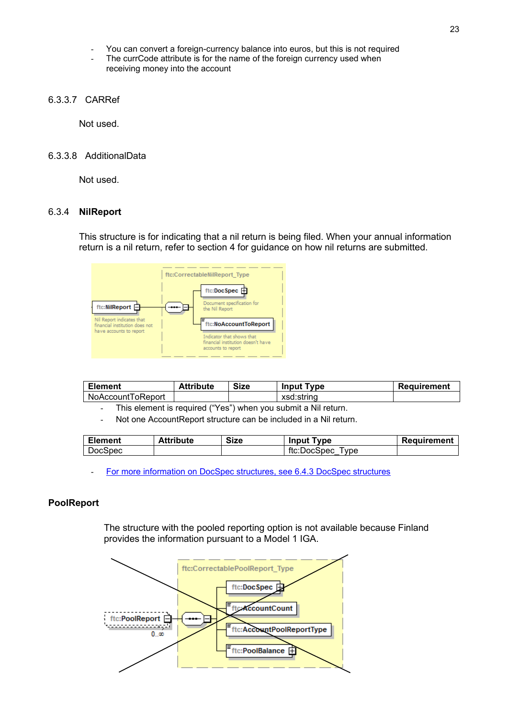- You can convert a foreign-currency balance into euros, but this is not required
- The currCode attribute is for the name of the foreign currency used when receiving money into the account
- 6.3.3.7 CARRef

Not used.

#### 6.3.3.8 AdditionalData

Not used.

#### <span id="page-22-0"></span>6.3.4 **NilReport**

This structure is for indicating that a nil return is being filed. When your annual information return is a nil return, refer to section 4 for guidance on how nil returns are submitted.



| <b>Element</b>    | <b>Attribute</b> | Size | <b>Input Type</b> | Requirement |
|-------------------|------------------|------|-------------------|-------------|
| NoAccountToReport |                  |      | xsd:string        |             |

This element is required ("Yes") when you submit a Nil return.

Not one AccountReport structure can be included in a Nil return.

| <b>Element</b> | <b>Attribute</b> | Size | <b>Input Type</b>   | <b>Requirement</b> |
|----------------|------------------|------|---------------------|--------------------|
| <b>DocSpec</b> |                  |      | ftc:DocSpec<br>Type |                    |

[For more information on DocSpec structures, see 6.4.3 DocSpec structures](#page-26-0)

#### <span id="page-22-1"></span>**PoolReport**

The structure with the pooled reporting option is not available because Finland provides the information pursuant to a Model 1 IGA.

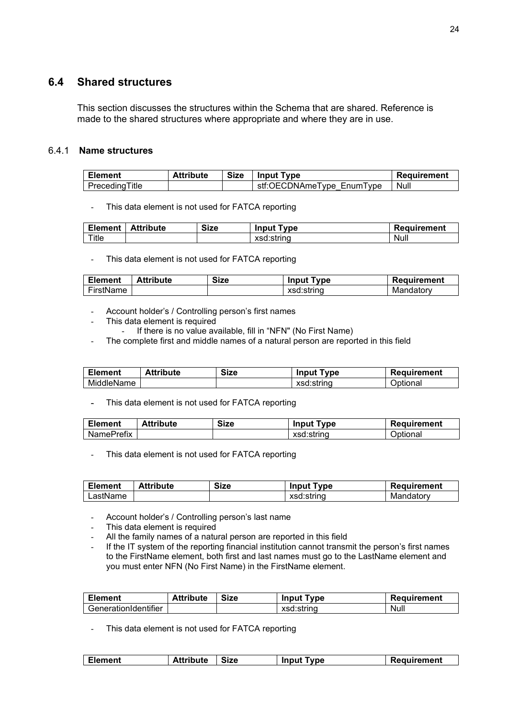### <span id="page-23-0"></span>**6.4 Shared structures**

This section discusses the structures within the Schema that are shared. Reference is made to the shared structures where appropriate and where they are in use.

#### <span id="page-23-1"></span>6.4.1 **Name structures**

| <b>Element</b> | <b>Attribute</b> | <b>Size</b> | <b>Input Type</b>         | Requirement |
|----------------|------------------|-------------|---------------------------|-------------|
| PrecedingTitle |                  |             | stf:OECDNAmeType EnumType | Null        |

- This data element is not used for FATCA reporting

| <b>Element</b> | <b>Attribute</b> | <b>Size</b> | <b>Input Type</b> | Requirement |
|----------------|------------------|-------------|-------------------|-------------|
| Title          |                  |             | xsd:string        | Null        |

- This data element is not used for FATCA reporting

| <b>Element</b> | <b>Attribute</b> | <b>Size</b> | <b>Input Type</b> | <b>Requirement</b> |
|----------------|------------------|-------------|-------------------|--------------------|
| FirstName      |                  |             | xsd:string        | Mandatory          |

- Account holder's / Controlling person's first names
- This data element is required
	- If there is no value available, fill in "NFN" (No First Name)
- The complete first and middle names of a natural person are reported in this field

| Element    | <b>Attribute</b> | <b>Size</b> | <b>Input Type</b> | Requirement |
|------------|------------------|-------------|-------------------|-------------|
| MiddleName |                  |             | xsd:string        | Optional    |

- This data element is not used for FATCA reporting

| <b>Element</b>    | <b>Attribute</b> | <b>Size</b> | <b>Input Type</b> | Requirement |
|-------------------|------------------|-------------|-------------------|-------------|
| <b>NamePrefix</b> |                  |             | xsd:string        | Optional    |

- This data element is not used for FATCA reporting

| <b>Element</b> | <b>Attribute</b> | <b>Size</b> | <b>Input Type</b> | Requirement |
|----------------|------------------|-------------|-------------------|-------------|
| ∟astName       |                  |             | xsd:string        | Mandatory   |

- Account holder's / Controlling person's last name
- This data element is required
- All the family names of a natural person are reported in this field
- If the IT system of the reporting financial institution cannot transmit the person's first names to the FirstName element, both first and last names must go to the LastName element and you must enter NFN (No First Name) in the FirstName element.

| <b>Element</b>       | <b>Attribute</b> | <b>Size</b> | <b>Input Type</b> | Requirement |
|----------------------|------------------|-------------|-------------------|-------------|
| GenerationIdentifier |                  |             | xsd:string        | Null        |

- This data element is not used for FATCA reporting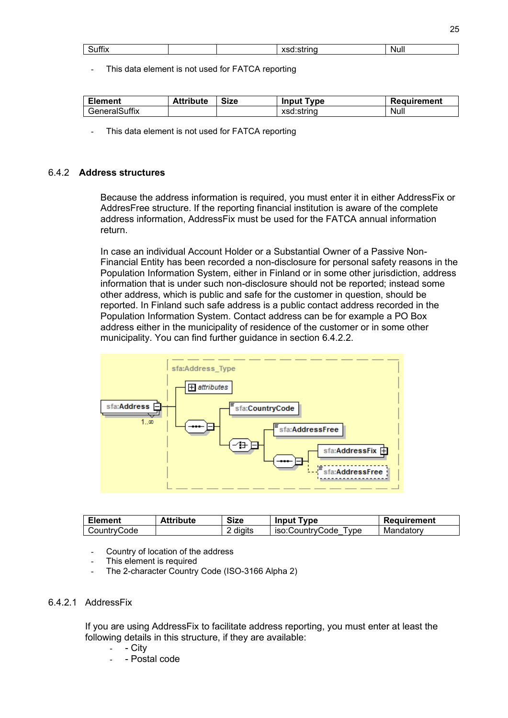| <br>-<br>.<br>ວuшx | --------<br>' It | N<br>vull |  |
|--------------------|------------------|-----------|--|

This data element is not used for FATCA reporting

| <b>Element</b> | <b>Attribute</b> | <b>Size</b> | ` Tvpe ⊺<br>Input | Requirement |
|----------------|------------------|-------------|-------------------|-------------|
| GeneralSuffix  |                  |             | xsd:string        | Null        |

This data element is not used for FATCA reporting

#### <span id="page-24-0"></span>6.4.2 **Address structures**

Because the address information is required, you must enter it in either AddressFix or AddresFree structure. If the reporting financial institution is aware of the complete address information, AddressFix must be used for the FATCA annual information return.

In case an individual Account Holder or a Substantial Owner of a Passive Non-Financial Entity has been recorded a non-disclosure for personal safety reasons in the Population Information System, either in Finland or in some other jurisdiction, address information that is under such non-disclosure should not be reported; instead some other address, which is public and safe for the customer in question, should be reported. In Finland such safe address is a public contact address recorded in the Population Information System. Contact address can be for example a PO Box address either in the municipality of residence of the customer or in some other municipality. You can find further guidance in section 6.4.2.2.



| Element     | <b>Attribute</b> | <b>Size</b> | <b>Input Type</b>       | Requirement |
|-------------|------------------|-------------|-------------------------|-------------|
| CountryCode |                  | digits<br>∸ | iso:CountrvCode<br>Tvpe | Mandatory   |

- Country of location of the address
- This element is required
- The 2-character Country Code (ISO-3166 Alpha 2)

#### 6.4.2.1 AddressFix

If you are using AddressFix to facilitate address reporting, you must enter at least the following details in this structure, if they are available:

- City
- Postal code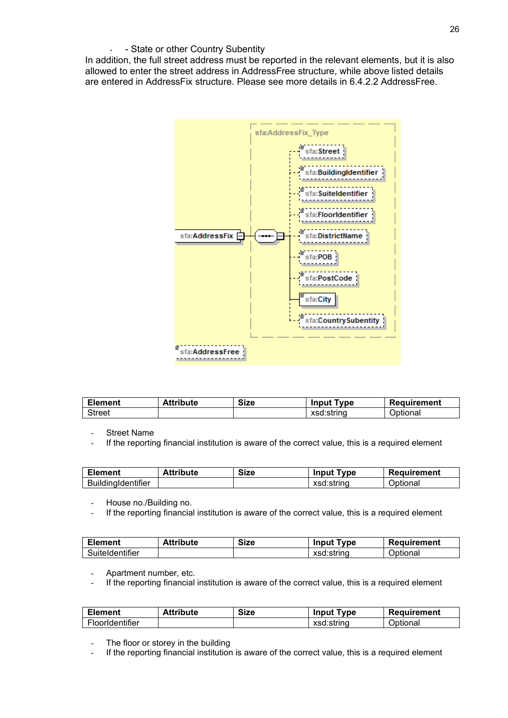#### - - State or other Country Subentity

In addition, the full street address must be reported in the relevant elements, but it is also allowed to enter the street address in AddressFree structure, while above listed details are entered in AddressFix structure. Please see more details in 6.4.2.2 AddressFree.



| <b>Element</b> | <b>Attribute</b> | <b>Size</b> | <b>Input Type</b> | Requirement     |
|----------------|------------------|-------------|-------------------|-----------------|
| <b>Street</b>  |                  |             | xsd:string        | <u>Jptional</u> |

**Street Name** 

If the reporting financial institution is aware of the correct value, this is a required element

| <b>Element</b>            | Attribute | <b>Size</b> | <b>Input Type</b> | Requirement |
|---------------------------|-----------|-------------|-------------------|-------------|
| <b>BuildingIdentifier</b> |           |             | xsd:string        | Optional    |

- House no./Building no.

- If the reporting financial institution is aware of the correct value, this is a required element

| <b>Element</b>  | <b>Attribute</b> | <b>Size</b> | <b>Input Type</b> | Requirement |
|-----------------|------------------|-------------|-------------------|-------------|
| Suiteldentifier |                  |             | xsd:string        | Optional    |

Apartment number, etc.

- If the reporting financial institution is aware of the correct value, this is a required element

| <b>Element</b>  | <b>Attribute</b> | <b>Size</b> | <b>T</b> vpe<br>Input | Requirement     |
|-----------------|------------------|-------------|-----------------------|-----------------|
| FloorIdentifier |                  |             | xsd:string            | <b>Optional</b> |

The floor or storey in the building

- If the reporting financial institution is aware of the correct value, this is a required element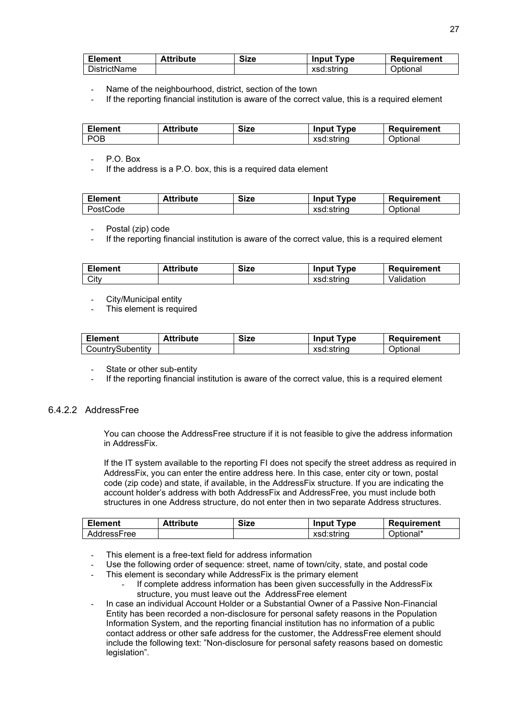| <b>Element</b>      | Attribute | <b>Size</b> | <b>Type</b><br>Input | Requirement |
|---------------------|-----------|-------------|----------------------|-------------|
| <b>DistrictName</b> |           |             | xsd:string           | Optional    |

- Name of the neighbourhood, district, section of the town
- If the reporting financial institution is aware of the correct value, this is a required element

| <b>Element</b> | <b>Attribute</b> | <b>Size</b> | <b>Type</b><br>Input | Requirement |
|----------------|------------------|-------------|----------------------|-------------|
| D∩R            |                  |             | xsd:string           | Optional    |

P.O. Box

If the address is a P.O. box, this is a required data element

| <b>Element</b> | <b>Attribute</b> | <b>Size</b> | Type<br>Input | Requirement |
|----------------|------------------|-------------|---------------|-------------|
| PostCode       |                  |             | xsd:string    | Optional    |

Postal (zip) code

If the reporting financial institution is aware of the correct value, this is a required element

| <b>Element</b> | <b>Attribute</b> | <b>Size</b> | <b>Input Type</b> | Requirement |
|----------------|------------------|-------------|-------------------|-------------|
| City           |                  |             | xsd:string        | Validation  |

- City/Municipal entity
- This element is required

| <b>Element</b>   | <b>Attribute</b> | <b>Size</b> | <b>Input Type</b> | Requirement |
|------------------|------------------|-------------|-------------------|-------------|
| CountrySubentity |                  |             | xsd:string        | Optional    |

State or other sub-entity

If the reporting financial institution is aware of the correct value, this is a required element

#### 6.4.2.2 AddressFree

You can choose the AddressFree structure if it is not feasible to give the address information in AddressFix.

If the IT system available to the reporting FI does not specify the street address as required in AddressFix, you can enter the entire address here. In this case, enter city or town, postal code (zip code) and state, if available, in the AddressFix structure. If you are indicating the account holder's address with both AddressFix and AddressFree, you must include both structures in one Address structure, do not enter then in two separate Address structures.

| <b>Element</b> | <b>Attribute</b> | <b>Size</b> | <b>Input Type</b> | Requirement |
|----------------|------------------|-------------|-------------------|-------------|
| AddressFree    |                  |             | xsd:string        | Optional*   |

- This element is a free-text field for address information
- Use the following order of sequence: street, name of town/city, state, and postal code
- This element is secondary while AddressFix is the primary element
	- If complete address information has been given successfully in the AddressFix structure, you must leave out the AddressFree element
- <span id="page-26-0"></span>In case an individual Account Holder or a Substantial Owner of a Passive Non-Financial Entity has been recorded a non-disclosure for personal safety reasons in the Population Information System, and the reporting financial institution has no information of a public contact address or other safe address for the customer, the AddressFree element should include the following text: "Non-disclosure for personal safety reasons based on domestic legislation".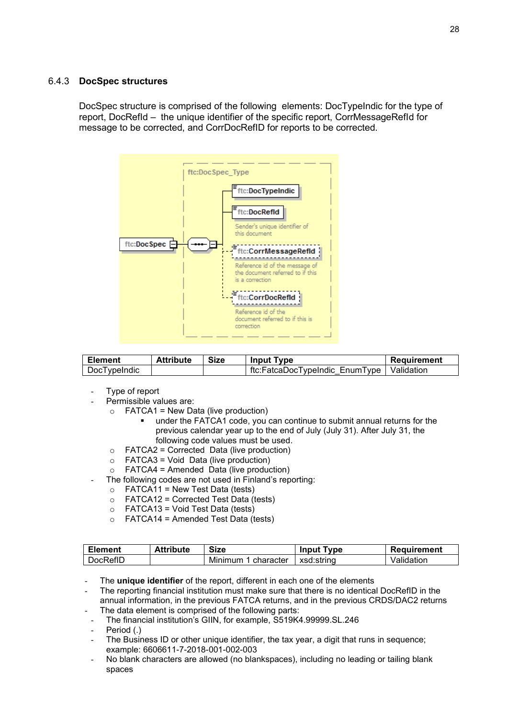#### <span id="page-27-0"></span>6.4.3 **DocSpec structures**

DocSpec structure is comprised of the following elements: DocTypeIndic for the type of report, DocRefId – the unique identifier of the specific report, CorrMessageRefId for message to be corrected, and CorrDocRefID for reports to be corrected.



| <b>Element</b> | <b>Attribute</b> | <b>Size</b> | <b>Input Type</b>                           | Requirement |
|----------------|------------------|-------------|---------------------------------------------|-------------|
| DocTypeIndic   |                  |             | ftc:FatcaDocTypeIndic EnumType   Validation |             |

- Type of report
	- Permissible values are:
		- $\circ$  FATCA1 = New Data (live production)
			- under the FATCA1 code, you can continue to submit annual returns for the previous calendar year up to the end of July (July 31). After July 31, the following code values must be used.
		- $\circ$  FATCA2 = Corrected Data (live production)
		- o FATCA3 = Void Data (live production)
		- $\circ$  FATCA4 = Amended Data (live production)
	- The following codes are not used in Finland's reporting:
	- $\circ$  FATCA11 = New Test Data (tests)
		- $\circ$  FATCA12 = Corrected Test Data (tests)
		- $\circ$  FATCA13 = Void Test Data (tests)
		- $\circ$  FATCA14 = Amended Test Data (tests)

| <b>Element</b> | <b>Attribute</b> | <b>Size</b>         | <b>Input Type</b> | Requirement |
|----------------|------------------|---------------------|-------------------|-------------|
| DocRefID       |                  | Minimum 1 character | l xsd:strinɑ      | Validation  |

The **unique identifier** of the report, different in each one of the elements

The reporting financial institution must make sure that there is no identical DocRefID in the annual information, in the previous FATCA returns, and in the previous CRDS/DAC2 returns The data element is comprised of the following parts:

- The financial institution's GIIN, for example, S519K4.99999.SL.246
- Period (.)
- The Business ID or other unique identifier, the tax year, a digit that runs in sequence; example: 6606611-7-2018-001-002-003
- No blank characters are allowed (no blankspaces), including no leading or tailing blank spaces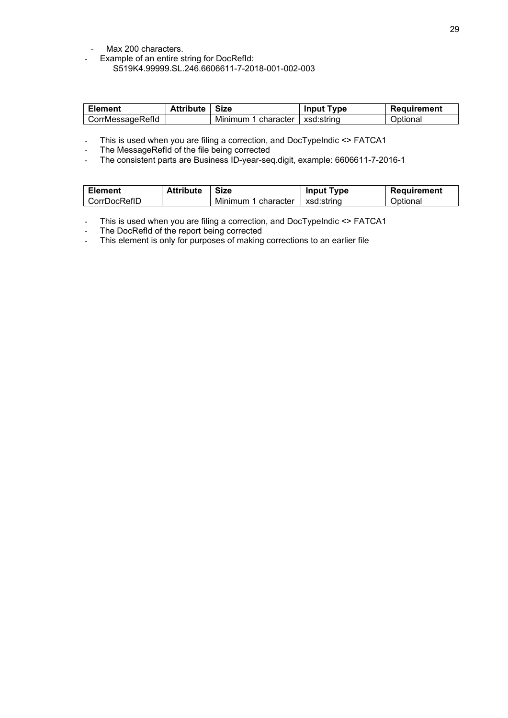- Max 200 characters.
- Example of an entire string for DocRefId: S519K4.99999.SL.246.6606611-7-2018-001-002-003

| <b>Element</b>   | <b>Attribute   Size</b> |                     | <b>Input Type</b> | Requirement |
|------------------|-------------------------|---------------------|-------------------|-------------|
| CorrMessageRefld |                         | Minimum 1 character | l xsd:strina      | Optional    |

- This is used when you are filing a correction, and DocTypeIndic <> FATCA1

- The MessageRefId of the file being corrected
- The consistent parts are Business ID-year-seq.digit, example: 6606611-7-2016-1

| <b>Element</b> | <b>Attribute</b> | <b>Size</b>         | <b>Input Type</b> | Requirement |
|----------------|------------------|---------------------|-------------------|-------------|
| CorrDocRefID   |                  | Minimum 1 character | ⊟ xsd:string      | Optional    |

- This is used when you are filing a correction, and DocTypeIndic <> FATCA1

- The DocRefId of the report being corrected

- This element is only for purposes of making corrections to an earlier file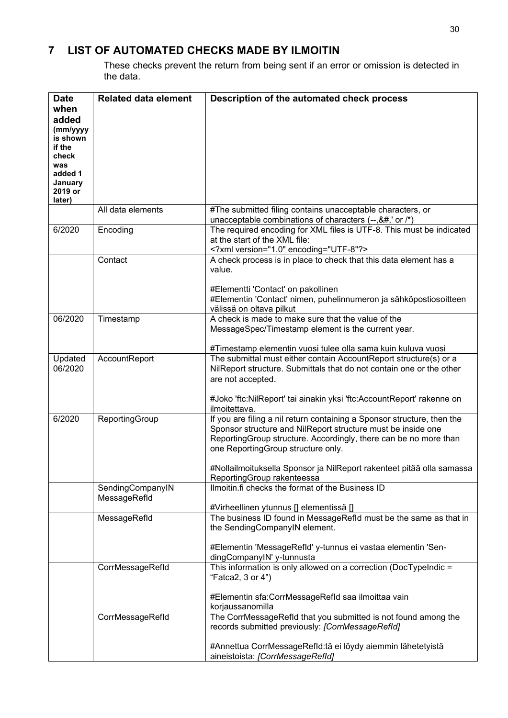### <span id="page-29-0"></span>**7 LIST OF AUTOMATED CHECKS MADE BY ILMOITIN**

These checks prevent the return from being sent if an error or omission is detected in the data.

| <b>Date</b>        | <b>Related data element</b> | Description of the automated check process                                                                                                                                                                                                                                                                                                                                                                                                                                                                                                                                                                                                                                                                                                                                                                                                                                                                                                                                                                                                                                                                                                                                                                                                                                                                                                                                                                                                                                                                                                                                                                                                                                                                                                                                                                                                                                                                                                                                                                                                                                                                                                                                                                                                                                                                                                                                                                                                                                                                                                                                                                                                                                                                                                                                                                                                                                                                                                                                                                                                                                                                                                                                                                                                                                                                                                                                                                                                                                                                                                                                   |
|--------------------|-----------------------------|------------------------------------------------------------------------------------------------------------------------------------------------------------------------------------------------------------------------------------------------------------------------------------------------------------------------------------------------------------------------------------------------------------------------------------------------------------------------------------------------------------------------------------------------------------------------------------------------------------------------------------------------------------------------------------------------------------------------------------------------------------------------------------------------------------------------------------------------------------------------------------------------------------------------------------------------------------------------------------------------------------------------------------------------------------------------------------------------------------------------------------------------------------------------------------------------------------------------------------------------------------------------------------------------------------------------------------------------------------------------------------------------------------------------------------------------------------------------------------------------------------------------------------------------------------------------------------------------------------------------------------------------------------------------------------------------------------------------------------------------------------------------------------------------------------------------------------------------------------------------------------------------------------------------------------------------------------------------------------------------------------------------------------------------------------------------------------------------------------------------------------------------------------------------------------------------------------------------------------------------------------------------------------------------------------------------------------------------------------------------------------------------------------------------------------------------------------------------------------------------------------------------------------------------------------------------------------------------------------------------------------------------------------------------------------------------------------------------------------------------------------------------------------------------------------------------------------------------------------------------------------------------------------------------------------------------------------------------------------------------------------------------------------------------------------------------------------------------------------------------------------------------------------------------------------------------------------------------------------------------------------------------------------------------------------------------------------------------------------------------------------------------------------------------------------------------------------------------------------------------------------------------------------------------------------------------------|
| when               |                             |                                                                                                                                                                                                                                                                                                                                                                                                                                                                                                                                                                                                                                                                                                                                                                                                                                                                                                                                                                                                                                                                                                                                                                                                                                                                                                                                                                                                                                                                                                                                                                                                                                                                                                                                                                                                                                                                                                                                                                                                                                                                                                                                                                                                                                                                                                                                                                                                                                                                                                                                                                                                                                                                                                                                                                                                                                                                                                                                                                                                                                                                                                                                                                                                                                                                                                                                                                                                                                                                                                                                                                              |
| added              |                             |                                                                                                                                                                                                                                                                                                                                                                                                                                                                                                                                                                                                                                                                                                                                                                                                                                                                                                                                                                                                                                                                                                                                                                                                                                                                                                                                                                                                                                                                                                                                                                                                                                                                                                                                                                                                                                                                                                                                                                                                                                                                                                                                                                                                                                                                                                                                                                                                                                                                                                                                                                                                                                                                                                                                                                                                                                                                                                                                                                                                                                                                                                                                                                                                                                                                                                                                                                                                                                                                                                                                                                              |
| (mm/yyyy           |                             |                                                                                                                                                                                                                                                                                                                                                                                                                                                                                                                                                                                                                                                                                                                                                                                                                                                                                                                                                                                                                                                                                                                                                                                                                                                                                                                                                                                                                                                                                                                                                                                                                                                                                                                                                                                                                                                                                                                                                                                                                                                                                                                                                                                                                                                                                                                                                                                                                                                                                                                                                                                                                                                                                                                                                                                                                                                                                                                                                                                                                                                                                                                                                                                                                                                                                                                                                                                                                                                                                                                                                                              |
| is shown           |                             |                                                                                                                                                                                                                                                                                                                                                                                                                                                                                                                                                                                                                                                                                                                                                                                                                                                                                                                                                                                                                                                                                                                                                                                                                                                                                                                                                                                                                                                                                                                                                                                                                                                                                                                                                                                                                                                                                                                                                                                                                                                                                                                                                                                                                                                                                                                                                                                                                                                                                                                                                                                                                                                                                                                                                                                                                                                                                                                                                                                                                                                                                                                                                                                                                                                                                                                                                                                                                                                                                                                                                                              |
| if the             |                             |                                                                                                                                                                                                                                                                                                                                                                                                                                                                                                                                                                                                                                                                                                                                                                                                                                                                                                                                                                                                                                                                                                                                                                                                                                                                                                                                                                                                                                                                                                                                                                                                                                                                                                                                                                                                                                                                                                                                                                                                                                                                                                                                                                                                                                                                                                                                                                                                                                                                                                                                                                                                                                                                                                                                                                                                                                                                                                                                                                                                                                                                                                                                                                                                                                                                                                                                                                                                                                                                                                                                                                              |
| check              |                             |                                                                                                                                                                                                                                                                                                                                                                                                                                                                                                                                                                                                                                                                                                                                                                                                                                                                                                                                                                                                                                                                                                                                                                                                                                                                                                                                                                                                                                                                                                                                                                                                                                                                                                                                                                                                                                                                                                                                                                                                                                                                                                                                                                                                                                                                                                                                                                                                                                                                                                                                                                                                                                                                                                                                                                                                                                                                                                                                                                                                                                                                                                                                                                                                                                                                                                                                                                                                                                                                                                                                                                              |
| was                |                             |                                                                                                                                                                                                                                                                                                                                                                                                                                                                                                                                                                                                                                                                                                                                                                                                                                                                                                                                                                                                                                                                                                                                                                                                                                                                                                                                                                                                                                                                                                                                                                                                                                                                                                                                                                                                                                                                                                                                                                                                                                                                                                                                                                                                                                                                                                                                                                                                                                                                                                                                                                                                                                                                                                                                                                                                                                                                                                                                                                                                                                                                                                                                                                                                                                                                                                                                                                                                                                                                                                                                                                              |
| added 1<br>January |                             |                                                                                                                                                                                                                                                                                                                                                                                                                                                                                                                                                                                                                                                                                                                                                                                                                                                                                                                                                                                                                                                                                                                                                                                                                                                                                                                                                                                                                                                                                                                                                                                                                                                                                                                                                                                                                                                                                                                                                                                                                                                                                                                                                                                                                                                                                                                                                                                                                                                                                                                                                                                                                                                                                                                                                                                                                                                                                                                                                                                                                                                                                                                                                                                                                                                                                                                                                                                                                                                                                                                                                                              |
| 2019 or            |                             |                                                                                                                                                                                                                                                                                                                                                                                                                                                                                                                                                                                                                                                                                                                                                                                                                                                                                                                                                                                                                                                                                                                                                                                                                                                                                                                                                                                                                                                                                                                                                                                                                                                                                                                                                                                                                                                                                                                                                                                                                                                                                                                                                                                                                                                                                                                                                                                                                                                                                                                                                                                                                                                                                                                                                                                                                                                                                                                                                                                                                                                                                                                                                                                                                                                                                                                                                                                                                                                                                                                                                                              |
| later)             |                             |                                                                                                                                                                                                                                                                                                                                                                                                                                                                                                                                                                                                                                                                                                                                                                                                                                                                                                                                                                                                                                                                                                                                                                                                                                                                                                                                                                                                                                                                                                                                                                                                                                                                                                                                                                                                                                                                                                                                                                                                                                                                                                                                                                                                                                                                                                                                                                                                                                                                                                                                                                                                                                                                                                                                                                                                                                                                                                                                                                                                                                                                                                                                                                                                                                                                                                                                                                                                                                                                                                                                                                              |
|                    | All data elements           | #The submitted filing contains unacceptable characters, or                                                                                                                                                                                                                                                                                                                                                                                                                                                                                                                                                                                                                                                                                                                                                                                                                                                                                                                                                                                                                                                                                                                                                                                                                                                                                                                                                                                                                                                                                                                                                                                                                                                                                                                                                                                                                                                                                                                                                                                                                                                                                                                                                                                                                                                                                                                                                                                                                                                                                                                                                                                                                                                                                                                                                                                                                                                                                                                                                                                                                                                                                                                                                                                                                                                                                                                                                                                                                                                                                                                   |
|                    |                             | unacceptable combinations of characters (--,&#,' or /*)</td></tr><tr><td>6/2020</td><td>Encoding</td><td>The required encoding for XML files is UTF-8. This must be indicated</td></tr><tr><td></td><td></td><td>at the start of the XML file:</td></tr><tr><td></td><td></td><td><?xml version="1.0" encoding="UTF-8"?></td></tr><tr><td></td><td>Contact</td><td>A check process is in place to check that this data element has a</td></tr><tr><td></td><td></td><td>value.</td></tr><tr><td></td><td></td><td></td></tr><tr><td></td><td></td><td>#Elementti 'Contact' on pakollinen</td></tr><tr><td></td><td></td><td>#Elementin 'Contact' nimen, puhelinnumeron ja sähköpostiosoitteen</td></tr><tr><td></td><td></td><td>välissä on oltava pilkut</td></tr><tr><td>06/2020</td><td>Timestamp</td><td>A check is made to make sure that the value of the</td></tr><tr><td></td><td></td><td>MessageSpec/Timestamp element is the current year.</td></tr><tr><td></td><td></td><td>#Timestamp elementin vuosi tulee olla sama kuin kuluva vuosi</td></tr><tr><td>Updated</td><td>AccountReport</td><td>The submittal must either contain AccountReport structure(s) or a</td></tr><tr><td>06/2020</td><td></td><td>NilReport structure. Submittals that do not contain one or the other</td></tr><tr><td></td><td></td><td>are not accepted.</td></tr><tr><td></td><td></td><td></td></tr><tr><td></td><td></td><td>#Joko 'ftc:NilReport' tai ainakin yksi 'ftc:AccountReport' rakenne on</td></tr><tr><td></td><td></td><td>ilmoitettava.</td></tr><tr><td>6/2020</td><td>ReportingGroup</td><td>If you are filing a nil return containing a Sponsor structure, then the</td></tr><tr><td></td><td></td><td>Sponsor structure and NilReport structure must be inside one</td></tr><tr><td></td><td></td><td>ReportingGroup structure. Accordingly, there can be no more than</td></tr><tr><td></td><td></td><td>one ReportingGroup structure only.</td></tr><tr><td></td><td></td><td></td></tr><tr><td></td><td></td><td>#Nollailmoituksella Sponsor ja NilReport rakenteet pitää olla samassa</td></tr><tr><td></td><td></td><td>ReportingGroup rakenteessa</td></tr><tr><td></td><td>SendingCompanyIN</td><td>Ilmoitin.fi checks the format of the Business ID</td></tr><tr><td></td><td>MessageRefld</td><td></td></tr><tr><td></td><td></td><td>#Virheellinen ytunnus [] elementissä []<br>The business ID found in MessageRefId must be the same as that in</td></tr><tr><td></td><td>MessageRefld</td><td>the SendingCompanyIN element.</td></tr><tr><td></td><td></td><td></td></tr><tr><td></td><td></td><td>#Elementin 'MessageRefld' y-tunnus ei vastaa elementin 'Sen-</td></tr><tr><td></td><td></td><td>dingCompanyIN' y-tunnusta</td></tr><tr><td></td><td>CorrMessageRefld</td><td>This information is only allowed on a correction (<math>\overline{DocTypeIndic}</math> =</td></tr><tr><td></td><td></td><td>"Fatca2, 3 or 4")</td></tr><tr><td></td><td></td><td></td></tr><tr><td></td><td></td><td>#Elementin sfa:CorrMessageRefId saa ilmoittaa vain</td></tr><tr><td></td><td></td><td>korjaussanomilla</td></tr><tr><td></td><td>CorrMessageRefld</td><td>The CorrMessageRefld that you submitted is not found among the</td></tr><tr><td></td><td></td><td>records submitted previously: [CorrMessageRefId]</td></tr><tr><td></td><td></td><td></td></tr><tr><td></td><td></td><td>#Annettua CorrMessageRefld:tä ei löydy aiemmin lähetetyistä</td></tr><tr><td></td><td></td><td>aineistoista: [CorrMessageRefld]</td></tr></tbody></table> |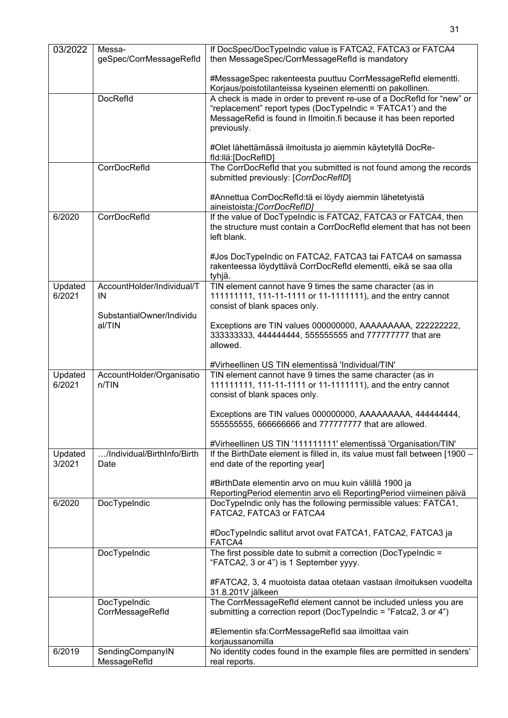| 03/2022 | Messa-                           | If DocSpec/DocTypeIndic value is FATCA2, FATCA3 or FATCA4                                                                             |
|---------|----------------------------------|---------------------------------------------------------------------------------------------------------------------------------------|
|         | geSpec/CorrMessageRefld          | then MessageSpec/CorrMessageRefId is mandatory                                                                                        |
|         |                                  | #MessageSpec rakenteesta puuttuu CorrMessageRefld elementti.                                                                          |
|         | DocRefld                         | Korjaus/poistotilanteissa kyseinen elementti on pakollinen.<br>A check is made in order to prevent re-use of a DocRefld for "new" or  |
|         |                                  | "replacement" report types (DocTypeIndic = 'FATCA1') and the                                                                          |
|         |                                  | MessageRefid is found in Ilmoitin.fi because it has been reported                                                                     |
|         |                                  | previously.                                                                                                                           |
|         |                                  | #Olet lähettämässä ilmoitusta jo aiemmin käytetyllä DocRe-                                                                            |
|         |                                  | fld:llä:[DocRefID]                                                                                                                    |
|         | CorrDocRefld                     | The CorrDocRefld that you submitted is not found among the records                                                                    |
|         |                                  | submitted previously: [CorrDocRefID]                                                                                                  |
|         |                                  | #Annettua CorrDocRefld:tä ei löydy aiemmin lähetetyistä                                                                               |
|         |                                  | aineistoista: [CorrDocRefID]                                                                                                          |
| 6/2020  | CorrDocRefld                     | If the value of DocTypeIndic is FATCA2, FATCA3 or FATCA4, then<br>the structure must contain a CorrDocRefId element that has not been |
|         |                                  | left blank.                                                                                                                           |
|         |                                  |                                                                                                                                       |
|         |                                  | #Jos DocTypeIndic on FATCA2, FATCA3 tai FATCA4 on samassa                                                                             |
|         |                                  | rakenteessa löydyttävä CorrDocRefld elementti, eikä se saa olla<br>tyhjä.                                                             |
| Updated | AccountHolder/Individual/T       | TIN element cannot have 9 times the same character (as in                                                                             |
| 6/2021  | IN                               | 111111111, 111-11-1111 or 11-1111111), and the entry cannot                                                                           |
|         | SubstantialOwner/Individu        | consist of blank spaces only.                                                                                                         |
|         | al/TIN                           | Exceptions are TIN values 000000000, AAAAAAAAA, 2222222222,                                                                           |
|         |                                  | 333333333, 444444444, 5555555555 and 777777777 that are                                                                               |
|         |                                  | allowed.                                                                                                                              |
|         |                                  | #Virheellinen US TIN elementissä 'Individual/TIN'                                                                                     |
| Updated | AccountHolder/Organisatio        | TIN element cannot have 9 times the same character (as in                                                                             |
| 6/2021  | n/TIN                            | 111111111, 111-11-1111 or 11-1111111), and the entry cannot                                                                           |
|         |                                  | consist of blank spaces only.                                                                                                         |
|         |                                  | Exceptions are TIN values 000000000, AAAAAAAAA, 444444444,                                                                            |
|         |                                  | 555555555, 666666666 and 777777777 that are allowed.                                                                                  |
|         |                                  | #Virheellinen US TIN '111111111' elementissä 'Organisation/TIN'                                                                       |
| Updated | /Individual/BirthInfo/Birth      | If the BirthDate element is filled in, its value must fall between [1900 -                                                            |
| 3/2021  | Date                             | end date of the reporting year]                                                                                                       |
|         |                                  | #BirthDate elementin arvo on muu kuin välillä 1900 ja                                                                                 |
|         |                                  | ReportingPeriod elementin arvo eli ReportingPeriod viimeinen päivä                                                                    |
| 6/2020  | DocTypeIndic                     | DocTypeIndic only has the following permissible values: FATCA1,                                                                       |
|         |                                  | FATCA2, FATCA3 or FATCA4                                                                                                              |
|         |                                  | #DocTypeIndic sallitut arvot ovat FATCA1, FATCA2, FATCA3 ja                                                                           |
|         |                                  | FATCA4                                                                                                                                |
|         | DocTypeIndic                     | The first possible date to submit a correction (DocTypeIndic =                                                                        |
|         |                                  | "FATCA2, 3 or 4") is 1 September yyyy.                                                                                                |
|         |                                  | #FATCA2, 3, 4 muotoista dataa otetaan vastaan ilmoituksen vuodelta                                                                    |
|         |                                  | 31.8.201V jälkeen                                                                                                                     |
|         | DocTypeIndic                     | The CorrMessageRefId element cannot be included unless you are                                                                        |
|         | CorrMessageRefld                 | submitting a correction report (DocTypeIndic = "Fatca2, 3 or 4")                                                                      |
|         |                                  | #Elementin sfa:CorrMessageRefId saa ilmoittaa vain                                                                                    |
|         |                                  | korjaussanomilla                                                                                                                      |
| 6/2019  | SendingCompanyIN<br>MessageRefld | No identity codes found in the example files are permitted in senders'<br>real reports.                                               |
|         |                                  |                                                                                                                                       |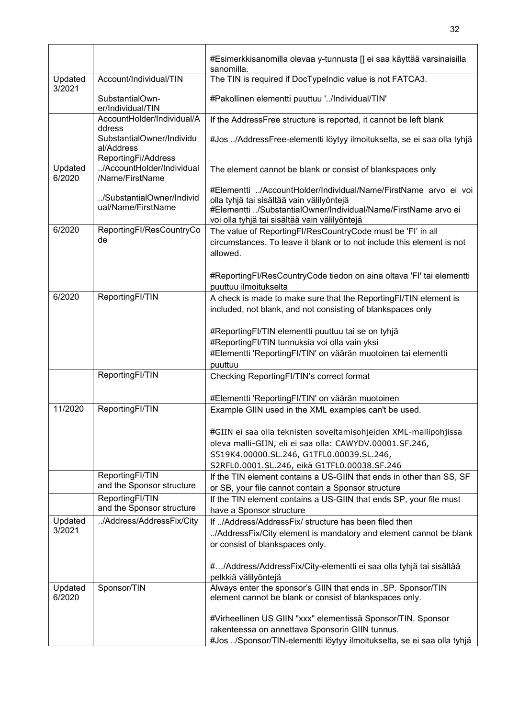|                   |                                                                | #Esimerkkisanomilla olevaa y-tunnusta [] ei saa käyttää varsinaisilla<br>sanomilla.                                                                                                                                             |
|-------------------|----------------------------------------------------------------|---------------------------------------------------------------------------------------------------------------------------------------------------------------------------------------------------------------------------------|
| Updated<br>3/2021 | Account/Individual/TIN                                         | The TIN is required if DocTypeIndic value is not FATCA3.                                                                                                                                                                        |
|                   | SubstantialOwn-<br>er/Individual/TIN                           | #Pakollinen elementti puuttuu '/Individual/TIN'                                                                                                                                                                                 |
|                   | AccountHolder/Individual/A<br>ddress                           | If the AddressFree structure is reported, it cannot be left blank                                                                                                                                                               |
|                   | SubstantialOwner/Individu<br>al/Address<br>ReportingFi/Address | #Jos /AddressFree-elementti löytyy ilmoitukselta, se ei saa olla tyhjä                                                                                                                                                          |
| Updated<br>6/2020 | /AccountHolder/Individual<br>/Name/FirstName                   | The element cannot be blank or consist of blankspaces only                                                                                                                                                                      |
|                   | /SubstantialOwner/Individ<br>ual/Name/FirstName                | #Elementti /AccountHolder/Individual/Name/FirstName arvo ei voi<br>olla tyhjä tai sisältää vain välilyöntejä<br>#Elementti /SubstantialOwner/Individual/Name/FirstName arvo ei<br>voi olla tyhjä tai sisältää vain välilyöntejä |
| 6/2020            | ReportingFI/ResCountryCo<br>de                                 | The value of ReportingFI/ResCountryCode must be 'FI' in all<br>circumstances. To leave it blank or to not include this element is not<br>allowed.                                                                               |
|                   |                                                                | #ReportingFI/ResCountryCode tiedon on aina oltava 'FI' tai elementti<br>puuttuu ilmoitukselta                                                                                                                                   |
| 6/2020            | ReportingFI/TIN                                                | A check is made to make sure that the ReportingFI/TIN element is<br>included, not blank, and not consisting of blankspaces only                                                                                                 |
|                   |                                                                | #ReportingFI/TIN elementti puuttuu tai se on tyhjä                                                                                                                                                                              |
|                   |                                                                | #ReportingFI/TIN tunnuksia voi olla vain yksi<br>#Elementti 'ReportingFI/TIN' on väärän muotoinen tai elementti                                                                                                                 |
|                   | ReportingFI/TIN                                                | puuttuu<br>Checking ReportingFI/TIN's correct format                                                                                                                                                                            |
|                   |                                                                |                                                                                                                                                                                                                                 |
| 11/2020           | ReportingFI/TIN                                                | #Elementti 'ReportingFI/TIN' on väärän muotoinen<br>Example GIIN used in the XML examples can't be used.                                                                                                                        |
|                   |                                                                |                                                                                                                                                                                                                                 |
|                   |                                                                | #GIIN ei saa olla teknisten soveltamisohjeiden XML-mallipohjissa                                                                                                                                                                |
|                   |                                                                | oleva malli-GIIN, eli ei saa olla: CAWYDV.00001.SF.246,<br>S519K4.00000.SL.246, G1TFL0.00039.SL.246,                                                                                                                            |
|                   |                                                                | S2RFL0.0001.SL.246, eikä G1TFL0.00038.SF.246                                                                                                                                                                                    |
|                   | ReportingFI/TIN<br>and the Sponsor structure                   | If the TIN element contains a US-GIIN that ends in other than SS, SF<br>or SB, your file cannot contain a Sponsor structure                                                                                                     |
|                   | ReportingFI/TIN                                                | If the TIN element contains a US-GIIN that ends SP, your file must                                                                                                                                                              |
|                   | and the Sponsor structure                                      | have a Sponsor structure                                                                                                                                                                                                        |
| Updated           | /Address/AddressFix/City                                       | If /Address/AddressFix/ structure has been filed then                                                                                                                                                                           |
| 3/2021            |                                                                | /AddressFix/City element is mandatory and element cannot be blank<br>or consist of blankspaces only.                                                                                                                            |
|                   |                                                                | #/Address/AddressFix/City-elementti ei saa olla tyhjä tai sisältää<br>pelkkiä välilyöntejä                                                                                                                                      |
| Updated<br>6/2020 | Sponsor/TIN                                                    | Always enter the sponsor's GIIN that ends in .SP. Sponsor/TIN<br>element cannot be blank or consist of blankspaces only.                                                                                                        |
|                   |                                                                | #Virheellinen US GIIN "xxx" elementissä Sponsor/TIN. Sponsor                                                                                                                                                                    |
|                   |                                                                | rakenteessa on annettava Sponsorin GIIN tunnus.                                                                                                                                                                                 |
|                   |                                                                | #Jos /Sponsor/TIN-elementti löytyy ilmoitukselta, se ei saa olla tyhjä                                                                                                                                                          |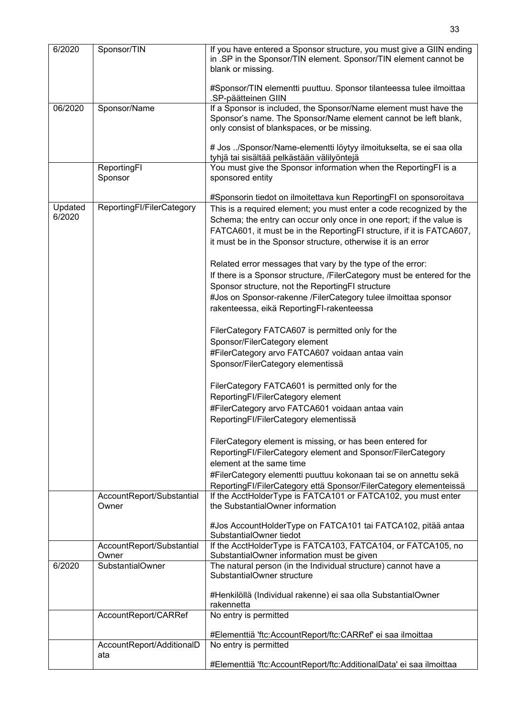| 6/2020            | Sponsor/TIN                        | If you have entered a Sponsor structure, you must give a GIIN ending<br>in .SP in the Sponsor/TIN element. Sponsor/TIN element cannot be<br>blank or missing.                                                                                                                         |
|-------------------|------------------------------------|---------------------------------------------------------------------------------------------------------------------------------------------------------------------------------------------------------------------------------------------------------------------------------------|
|                   |                                    | #Sponsor/TIN elementti puuttuu. Sponsor tilanteessa tulee ilmoittaa<br>.SP-päätteinen GIIN                                                                                                                                                                                            |
| 06/2020           | Sponsor/Name                       | If a Sponsor is included, the Sponsor/Name element must have the<br>Sponsor's name. The Sponsor/Name element cannot be left blank,<br>only consist of blankspaces, or be missing.                                                                                                     |
|                   |                                    | # Jos /Sponsor/Name-elementti löytyy ilmoitukselta, se ei saa olla<br>tyhjä tai sisältää pelkästään välilyöntejä                                                                                                                                                                      |
|                   | ReportingFI<br>Sponsor             | You must give the Sponsor information when the ReportingFI is a<br>sponsored entity                                                                                                                                                                                                   |
|                   |                                    | #Sponsorin tiedot on ilmoitettava kun ReportingFI on sponsoroitava                                                                                                                                                                                                                    |
| Updated<br>6/2020 | ReportingFI/FilerCategory          | This is a required element; you must enter a code recognized by the<br>Schema; the entry can occur only once in one report; if the value is<br>FATCA601, it must be in the ReportingFI structure, if it is FATCA607,<br>it must be in the Sponsor structure, otherwise it is an error |
|                   |                                    | Related error messages that vary by the type of the error:<br>If there is a Sponsor structure, /FilerCategory must be entered for the<br>Sponsor structure, not the ReportingFI structure<br>#Jos on Sponsor-rakenne /FilerCategory tulee ilmoittaa sponsor                           |
|                   |                                    | rakenteessa, eikä ReportingFI-rakenteessa                                                                                                                                                                                                                                             |
|                   |                                    | FilerCategory FATCA607 is permitted only for the<br>Sponsor/FilerCategory element                                                                                                                                                                                                     |
|                   |                                    | #FilerCategory arvo FATCA607 voidaan antaa vain                                                                                                                                                                                                                                       |
|                   |                                    | Sponsor/FilerCategory elementissä                                                                                                                                                                                                                                                     |
|                   |                                    | FilerCategory FATCA601 is permitted only for the                                                                                                                                                                                                                                      |
|                   |                                    | ReportingFI/FilerCategory element<br>#FilerCategory arvo FATCA601 voidaan antaa vain                                                                                                                                                                                                  |
|                   |                                    | ReportingFI/FilerCategory elementissä                                                                                                                                                                                                                                                 |
|                   |                                    | FilerCategory element is missing, or has been entered for                                                                                                                                                                                                                             |
|                   |                                    | ReportingFI/FilerCategory element and Sponsor/FilerCategory<br>element at the same time                                                                                                                                                                                               |
|                   |                                    | #FilerCategory elementti puuttuu kokonaan tai se on annettu sekä                                                                                                                                                                                                                      |
|                   |                                    | ReportingFI/FilerCategory että Sponsor/FilerCategory elementeissä                                                                                                                                                                                                                     |
|                   | AccountReport/Substantial<br>Owner | If the AcctHolderType is FATCA101 or FATCA102, you must enter<br>the SubstantialOwner information                                                                                                                                                                                     |
|                   |                                    | #Jos AccountHolderType on FATCA101 tai FATCA102, pitää antaa<br>SubstantialOwner tiedot                                                                                                                                                                                               |
|                   | AccountReport/Substantial<br>Owner | If the AcctHolderType is FATCA103, FATCA104, or FATCA105, no<br>SubstantialOwner information must be given                                                                                                                                                                            |
| 6/2020            | <b>SubstantialOwner</b>            | The natural person (in the Individual structure) cannot have a<br>SubstantialOwner structure                                                                                                                                                                                          |
|                   |                                    | #Henkilöllä (Individual rakenne) ei saa olla SubstantialOwner<br>rakennetta                                                                                                                                                                                                           |
|                   | AccountReport/CARRef               | No entry is permitted                                                                                                                                                                                                                                                                 |
|                   |                                    | #Elementtiä 'ftc:AccountReport/ftc:CARRef' ei saa ilmoittaa                                                                                                                                                                                                                           |
|                   | AccountReport/AdditionalD<br>ata   | No entry is permitted                                                                                                                                                                                                                                                                 |
|                   |                                    | #Elementtiä 'ftc:AccountReport/ftc:AdditionalData' ei saa ilmoittaa                                                                                                                                                                                                                   |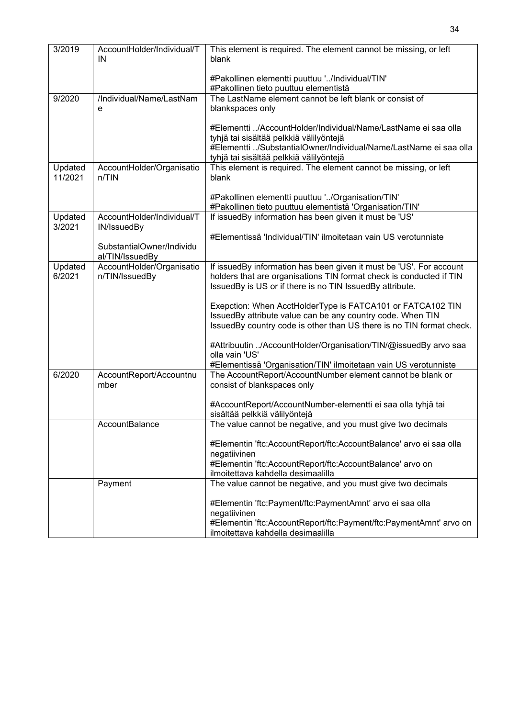| 3/2019<br>AccountHolder/Individual/T<br>This element is required. The element cannot be missing, or left<br>IN<br>blank<br>#Pakollinen elementti puuttuu '/Individual/TIN'<br>#Pakollinen tieto puuttuu elementistä<br>/Individual/Name/LastNam<br>The LastName element cannot be left blank or consist of<br>9/2020<br>blankspaces only<br>e<br>#Elementti /AccountHolder/Individual/Name/LastName ei saa olla<br>tyhjä tai sisältää pelkkiä välilyöntejä<br>#Elementti /SubstantialOwner/Individual/Name/LastName ei saa olla<br>tyhjä tai sisältää pelkkiä välilyöntejä<br>This element is required. The element cannot be missing, or left<br>Updated<br>AccountHolder/Organisatio<br>11/2021<br>n/TIN<br>blank<br>#Pakollinen elementti puuttuu '/Organisation/TIN'<br>#Pakollinen tieto puuttuu elementistä 'Organisation/TIN'<br>If issuedBy information has been given it must be 'US'<br>Updated<br>AccountHolder/Individual/T<br>3/2021<br>IN/IssuedBy<br>#Elementissä 'Individual/TIN' ilmoitetaan vain US verotunniste<br>SubstantialOwner/Individu<br>al/TIN/IssuedBy<br>AccountHolder/Organisatio<br>If issuedBy information has been given it must be 'US'. For account<br>Updated<br>6/2021<br>n/TIN/IssuedBy<br>holders that are organisations TIN format check is conducted if TIN<br>IssuedBy is US or if there is no TIN IssuedBy attribute.<br>Exepction: When AcctHolderType is FATCA101 or FATCA102 TIN<br>IssuedBy attribute value can be any country code. When TIN<br>IssuedBy country code is other than US there is no TIN format check.<br>#Attribuutin /AccountHolder/Organisation/TIN/@issuedBy arvo saa<br>olla vain 'US'<br>#Elementissä 'Organisation/TIN' ilmoitetaan vain US verotunniste<br>6/2020<br>AccountReport/Accountnu<br>The AccountReport/AccountNumber element cannot be blank or<br>mber<br>consist of blankspaces only<br>#AccountReport/AccountNumber-elementti ei saa olla tyhjä tai<br>sisältää pelkkiä välilyöntejä<br>The value cannot be negative, and you must give two decimals<br>AccountBalance<br>#Elementin 'ftc:AccountReport/ftc:AccountBalance' arvo ei saa olla<br>negatiivinen<br>#Elementin 'ftc:AccountReport/ftc:AccountBalance' arvo on<br>ilmoitettava kahdella desimaalilla<br>The value cannot be negative, and you must give two decimals<br>Payment<br>#Elementin 'ftc:Payment/ftc:PaymentAmnt' arvo ei saa olla<br>negatiivinen<br>#Elementin 'ftc:AccountReport/ftc:Payment/ftc:PaymentAmnt' arvo on<br>ilmoitettava kahdella desimaalilla |  |  |
|-------------------------------------------------------------------------------------------------------------------------------------------------------------------------------------------------------------------------------------------------------------------------------------------------------------------------------------------------------------------------------------------------------------------------------------------------------------------------------------------------------------------------------------------------------------------------------------------------------------------------------------------------------------------------------------------------------------------------------------------------------------------------------------------------------------------------------------------------------------------------------------------------------------------------------------------------------------------------------------------------------------------------------------------------------------------------------------------------------------------------------------------------------------------------------------------------------------------------------------------------------------------------------------------------------------------------------------------------------------------------------------------------------------------------------------------------------------------------------------------------------------------------------------------------------------------------------------------------------------------------------------------------------------------------------------------------------------------------------------------------------------------------------------------------------------------------------------------------------------------------------------------------------------------------------------------------------------------------------------------------------------------------------------------------------------------------------------------------------------------------------------------------------------------------------------------------------------------------------------------------------------------------------------------------------------------------------------------------------------------------------------------------------------------------------------------------------------------------------------------------------------------------|--|--|
|                                                                                                                                                                                                                                                                                                                                                                                                                                                                                                                                                                                                                                                                                                                                                                                                                                                                                                                                                                                                                                                                                                                                                                                                                                                                                                                                                                                                                                                                                                                                                                                                                                                                                                                                                                                                                                                                                                                                                                                                                                                                                                                                                                                                                                                                                                                                                                                                                                                                                                                         |  |  |
|                                                                                                                                                                                                                                                                                                                                                                                                                                                                                                                                                                                                                                                                                                                                                                                                                                                                                                                                                                                                                                                                                                                                                                                                                                                                                                                                                                                                                                                                                                                                                                                                                                                                                                                                                                                                                                                                                                                                                                                                                                                                                                                                                                                                                                                                                                                                                                                                                                                                                                                         |  |  |
|                                                                                                                                                                                                                                                                                                                                                                                                                                                                                                                                                                                                                                                                                                                                                                                                                                                                                                                                                                                                                                                                                                                                                                                                                                                                                                                                                                                                                                                                                                                                                                                                                                                                                                                                                                                                                                                                                                                                                                                                                                                                                                                                                                                                                                                                                                                                                                                                                                                                                                                         |  |  |
|                                                                                                                                                                                                                                                                                                                                                                                                                                                                                                                                                                                                                                                                                                                                                                                                                                                                                                                                                                                                                                                                                                                                                                                                                                                                                                                                                                                                                                                                                                                                                                                                                                                                                                                                                                                                                                                                                                                                                                                                                                                                                                                                                                                                                                                                                                                                                                                                                                                                                                                         |  |  |
|                                                                                                                                                                                                                                                                                                                                                                                                                                                                                                                                                                                                                                                                                                                                                                                                                                                                                                                                                                                                                                                                                                                                                                                                                                                                                                                                                                                                                                                                                                                                                                                                                                                                                                                                                                                                                                                                                                                                                                                                                                                                                                                                                                                                                                                                                                                                                                                                                                                                                                                         |  |  |
|                                                                                                                                                                                                                                                                                                                                                                                                                                                                                                                                                                                                                                                                                                                                                                                                                                                                                                                                                                                                                                                                                                                                                                                                                                                                                                                                                                                                                                                                                                                                                                                                                                                                                                                                                                                                                                                                                                                                                                                                                                                                                                                                                                                                                                                                                                                                                                                                                                                                                                                         |  |  |
|                                                                                                                                                                                                                                                                                                                                                                                                                                                                                                                                                                                                                                                                                                                                                                                                                                                                                                                                                                                                                                                                                                                                                                                                                                                                                                                                                                                                                                                                                                                                                                                                                                                                                                                                                                                                                                                                                                                                                                                                                                                                                                                                                                                                                                                                                                                                                                                                                                                                                                                         |  |  |
|                                                                                                                                                                                                                                                                                                                                                                                                                                                                                                                                                                                                                                                                                                                                                                                                                                                                                                                                                                                                                                                                                                                                                                                                                                                                                                                                                                                                                                                                                                                                                                                                                                                                                                                                                                                                                                                                                                                                                                                                                                                                                                                                                                                                                                                                                                                                                                                                                                                                                                                         |  |  |
|                                                                                                                                                                                                                                                                                                                                                                                                                                                                                                                                                                                                                                                                                                                                                                                                                                                                                                                                                                                                                                                                                                                                                                                                                                                                                                                                                                                                                                                                                                                                                                                                                                                                                                                                                                                                                                                                                                                                                                                                                                                                                                                                                                                                                                                                                                                                                                                                                                                                                                                         |  |  |
|                                                                                                                                                                                                                                                                                                                                                                                                                                                                                                                                                                                                                                                                                                                                                                                                                                                                                                                                                                                                                                                                                                                                                                                                                                                                                                                                                                                                                                                                                                                                                                                                                                                                                                                                                                                                                                                                                                                                                                                                                                                                                                                                                                                                                                                                                                                                                                                                                                                                                                                         |  |  |
|                                                                                                                                                                                                                                                                                                                                                                                                                                                                                                                                                                                                                                                                                                                                                                                                                                                                                                                                                                                                                                                                                                                                                                                                                                                                                                                                                                                                                                                                                                                                                                                                                                                                                                                                                                                                                                                                                                                                                                                                                                                                                                                                                                                                                                                                                                                                                                                                                                                                                                                         |  |  |
|                                                                                                                                                                                                                                                                                                                                                                                                                                                                                                                                                                                                                                                                                                                                                                                                                                                                                                                                                                                                                                                                                                                                                                                                                                                                                                                                                                                                                                                                                                                                                                                                                                                                                                                                                                                                                                                                                                                                                                                                                                                                                                                                                                                                                                                                                                                                                                                                                                                                                                                         |  |  |
|                                                                                                                                                                                                                                                                                                                                                                                                                                                                                                                                                                                                                                                                                                                                                                                                                                                                                                                                                                                                                                                                                                                                                                                                                                                                                                                                                                                                                                                                                                                                                                                                                                                                                                                                                                                                                                                                                                                                                                                                                                                                                                                                                                                                                                                                                                                                                                                                                                                                                                                         |  |  |
|                                                                                                                                                                                                                                                                                                                                                                                                                                                                                                                                                                                                                                                                                                                                                                                                                                                                                                                                                                                                                                                                                                                                                                                                                                                                                                                                                                                                                                                                                                                                                                                                                                                                                                                                                                                                                                                                                                                                                                                                                                                                                                                                                                                                                                                                                                                                                                                                                                                                                                                         |  |  |
|                                                                                                                                                                                                                                                                                                                                                                                                                                                                                                                                                                                                                                                                                                                                                                                                                                                                                                                                                                                                                                                                                                                                                                                                                                                                                                                                                                                                                                                                                                                                                                                                                                                                                                                                                                                                                                                                                                                                                                                                                                                                                                                                                                                                                                                                                                                                                                                                                                                                                                                         |  |  |
|                                                                                                                                                                                                                                                                                                                                                                                                                                                                                                                                                                                                                                                                                                                                                                                                                                                                                                                                                                                                                                                                                                                                                                                                                                                                                                                                                                                                                                                                                                                                                                                                                                                                                                                                                                                                                                                                                                                                                                                                                                                                                                                                                                                                                                                                                                                                                                                                                                                                                                                         |  |  |
|                                                                                                                                                                                                                                                                                                                                                                                                                                                                                                                                                                                                                                                                                                                                                                                                                                                                                                                                                                                                                                                                                                                                                                                                                                                                                                                                                                                                                                                                                                                                                                                                                                                                                                                                                                                                                                                                                                                                                                                                                                                                                                                                                                                                                                                                                                                                                                                                                                                                                                                         |  |  |
|                                                                                                                                                                                                                                                                                                                                                                                                                                                                                                                                                                                                                                                                                                                                                                                                                                                                                                                                                                                                                                                                                                                                                                                                                                                                                                                                                                                                                                                                                                                                                                                                                                                                                                                                                                                                                                                                                                                                                                                                                                                                                                                                                                                                                                                                                                                                                                                                                                                                                                                         |  |  |
|                                                                                                                                                                                                                                                                                                                                                                                                                                                                                                                                                                                                                                                                                                                                                                                                                                                                                                                                                                                                                                                                                                                                                                                                                                                                                                                                                                                                                                                                                                                                                                                                                                                                                                                                                                                                                                                                                                                                                                                                                                                                                                                                                                                                                                                                                                                                                                                                                                                                                                                         |  |  |
|                                                                                                                                                                                                                                                                                                                                                                                                                                                                                                                                                                                                                                                                                                                                                                                                                                                                                                                                                                                                                                                                                                                                                                                                                                                                                                                                                                                                                                                                                                                                                                                                                                                                                                                                                                                                                                                                                                                                                                                                                                                                                                                                                                                                                                                                                                                                                                                                                                                                                                                         |  |  |
|                                                                                                                                                                                                                                                                                                                                                                                                                                                                                                                                                                                                                                                                                                                                                                                                                                                                                                                                                                                                                                                                                                                                                                                                                                                                                                                                                                                                                                                                                                                                                                                                                                                                                                                                                                                                                                                                                                                                                                                                                                                                                                                                                                                                                                                                                                                                                                                                                                                                                                                         |  |  |
|                                                                                                                                                                                                                                                                                                                                                                                                                                                                                                                                                                                                                                                                                                                                                                                                                                                                                                                                                                                                                                                                                                                                                                                                                                                                                                                                                                                                                                                                                                                                                                                                                                                                                                                                                                                                                                                                                                                                                                                                                                                                                                                                                                                                                                                                                                                                                                                                                                                                                                                         |  |  |
|                                                                                                                                                                                                                                                                                                                                                                                                                                                                                                                                                                                                                                                                                                                                                                                                                                                                                                                                                                                                                                                                                                                                                                                                                                                                                                                                                                                                                                                                                                                                                                                                                                                                                                                                                                                                                                                                                                                                                                                                                                                                                                                                                                                                                                                                                                                                                                                                                                                                                                                         |  |  |
|                                                                                                                                                                                                                                                                                                                                                                                                                                                                                                                                                                                                                                                                                                                                                                                                                                                                                                                                                                                                                                                                                                                                                                                                                                                                                                                                                                                                                                                                                                                                                                                                                                                                                                                                                                                                                                                                                                                                                                                                                                                                                                                                                                                                                                                                                                                                                                                                                                                                                                                         |  |  |
|                                                                                                                                                                                                                                                                                                                                                                                                                                                                                                                                                                                                                                                                                                                                                                                                                                                                                                                                                                                                                                                                                                                                                                                                                                                                                                                                                                                                                                                                                                                                                                                                                                                                                                                                                                                                                                                                                                                                                                                                                                                                                                                                                                                                                                                                                                                                                                                                                                                                                                                         |  |  |
|                                                                                                                                                                                                                                                                                                                                                                                                                                                                                                                                                                                                                                                                                                                                                                                                                                                                                                                                                                                                                                                                                                                                                                                                                                                                                                                                                                                                                                                                                                                                                                                                                                                                                                                                                                                                                                                                                                                                                                                                                                                                                                                                                                                                                                                                                                                                                                                                                                                                                                                         |  |  |
|                                                                                                                                                                                                                                                                                                                                                                                                                                                                                                                                                                                                                                                                                                                                                                                                                                                                                                                                                                                                                                                                                                                                                                                                                                                                                                                                                                                                                                                                                                                                                                                                                                                                                                                                                                                                                                                                                                                                                                                                                                                                                                                                                                                                                                                                                                                                                                                                                                                                                                                         |  |  |
|                                                                                                                                                                                                                                                                                                                                                                                                                                                                                                                                                                                                                                                                                                                                                                                                                                                                                                                                                                                                                                                                                                                                                                                                                                                                                                                                                                                                                                                                                                                                                                                                                                                                                                                                                                                                                                                                                                                                                                                                                                                                                                                                                                                                                                                                                                                                                                                                                                                                                                                         |  |  |
|                                                                                                                                                                                                                                                                                                                                                                                                                                                                                                                                                                                                                                                                                                                                                                                                                                                                                                                                                                                                                                                                                                                                                                                                                                                                                                                                                                                                                                                                                                                                                                                                                                                                                                                                                                                                                                                                                                                                                                                                                                                                                                                                                                                                                                                                                                                                                                                                                                                                                                                         |  |  |
|                                                                                                                                                                                                                                                                                                                                                                                                                                                                                                                                                                                                                                                                                                                                                                                                                                                                                                                                                                                                                                                                                                                                                                                                                                                                                                                                                                                                                                                                                                                                                                                                                                                                                                                                                                                                                                                                                                                                                                                                                                                                                                                                                                                                                                                                                                                                                                                                                                                                                                                         |  |  |
|                                                                                                                                                                                                                                                                                                                                                                                                                                                                                                                                                                                                                                                                                                                                                                                                                                                                                                                                                                                                                                                                                                                                                                                                                                                                                                                                                                                                                                                                                                                                                                                                                                                                                                                                                                                                                                                                                                                                                                                                                                                                                                                                                                                                                                                                                                                                                                                                                                                                                                                         |  |  |
|                                                                                                                                                                                                                                                                                                                                                                                                                                                                                                                                                                                                                                                                                                                                                                                                                                                                                                                                                                                                                                                                                                                                                                                                                                                                                                                                                                                                                                                                                                                                                                                                                                                                                                                                                                                                                                                                                                                                                                                                                                                                                                                                                                                                                                                                                                                                                                                                                                                                                                                         |  |  |
|                                                                                                                                                                                                                                                                                                                                                                                                                                                                                                                                                                                                                                                                                                                                                                                                                                                                                                                                                                                                                                                                                                                                                                                                                                                                                                                                                                                                                                                                                                                                                                                                                                                                                                                                                                                                                                                                                                                                                                                                                                                                                                                                                                                                                                                                                                                                                                                                                                                                                                                         |  |  |
|                                                                                                                                                                                                                                                                                                                                                                                                                                                                                                                                                                                                                                                                                                                                                                                                                                                                                                                                                                                                                                                                                                                                                                                                                                                                                                                                                                                                                                                                                                                                                                                                                                                                                                                                                                                                                                                                                                                                                                                                                                                                                                                                                                                                                                                                                                                                                                                                                                                                                                                         |  |  |
|                                                                                                                                                                                                                                                                                                                                                                                                                                                                                                                                                                                                                                                                                                                                                                                                                                                                                                                                                                                                                                                                                                                                                                                                                                                                                                                                                                                                                                                                                                                                                                                                                                                                                                                                                                                                                                                                                                                                                                                                                                                                                                                                                                                                                                                                                                                                                                                                                                                                                                                         |  |  |
|                                                                                                                                                                                                                                                                                                                                                                                                                                                                                                                                                                                                                                                                                                                                                                                                                                                                                                                                                                                                                                                                                                                                                                                                                                                                                                                                                                                                                                                                                                                                                                                                                                                                                                                                                                                                                                                                                                                                                                                                                                                                                                                                                                                                                                                                                                                                                                                                                                                                                                                         |  |  |
|                                                                                                                                                                                                                                                                                                                                                                                                                                                                                                                                                                                                                                                                                                                                                                                                                                                                                                                                                                                                                                                                                                                                                                                                                                                                                                                                                                                                                                                                                                                                                                                                                                                                                                                                                                                                                                                                                                                                                                                                                                                                                                                                                                                                                                                                                                                                                                                                                                                                                                                         |  |  |
|                                                                                                                                                                                                                                                                                                                                                                                                                                                                                                                                                                                                                                                                                                                                                                                                                                                                                                                                                                                                                                                                                                                                                                                                                                                                                                                                                                                                                                                                                                                                                                                                                                                                                                                                                                                                                                                                                                                                                                                                                                                                                                                                                                                                                                                                                                                                                                                                                                                                                                                         |  |  |
|                                                                                                                                                                                                                                                                                                                                                                                                                                                                                                                                                                                                                                                                                                                                                                                                                                                                                                                                                                                                                                                                                                                                                                                                                                                                                                                                                                                                                                                                                                                                                                                                                                                                                                                                                                                                                                                                                                                                                                                                                                                                                                                                                                                                                                                                                                                                                                                                                                                                                                                         |  |  |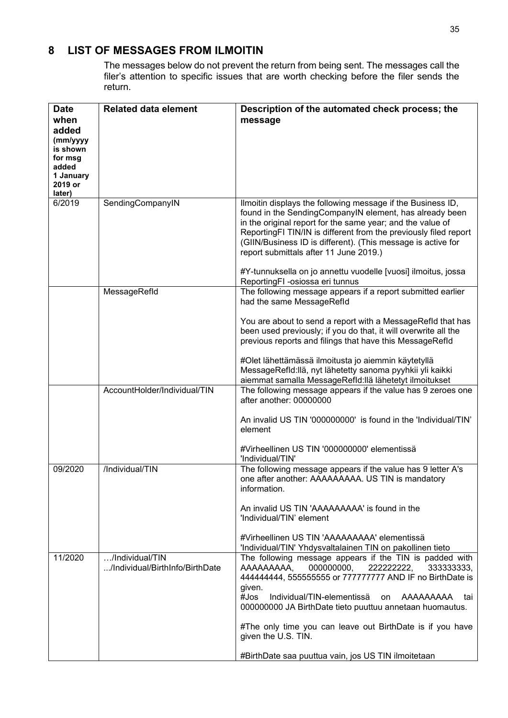### <span id="page-34-0"></span>**8 LIST OF MESSAGES FROM ILMOITIN**

The messages below do not prevent the return from being sent. The messages call the filer's attention to specific issues that are worth checking before the filer sends the return.

| <b>Date</b>       | <b>Related data element</b>                        | Description of the automated check process; the                                                                                |
|-------------------|----------------------------------------------------|--------------------------------------------------------------------------------------------------------------------------------|
| when              |                                                    | message                                                                                                                        |
| added<br>(mm/yyyy |                                                    |                                                                                                                                |
| is shown          |                                                    |                                                                                                                                |
| for msg<br>added  |                                                    |                                                                                                                                |
| 1 January         |                                                    |                                                                                                                                |
| 2019 or           |                                                    |                                                                                                                                |
| later)<br>6/2019  | SendingCompanyIN                                   | Ilmoitin displays the following message if the Business ID,                                                                    |
|                   |                                                    | found in the SendingCompanyIN element, has already been                                                                        |
|                   |                                                    | in the original report for the same year; and the value of<br>ReportingFI TIN/IN is different from the previously filed report |
|                   |                                                    | (GIIN/Business ID is different). (This message is active for                                                                   |
|                   |                                                    | report submittals after 11 June 2019.)                                                                                         |
|                   |                                                    | #Y-tunnuksella on jo annettu vuodelle [vuosi] ilmoitus, jossa<br>ReportingFI -osiossa eri tunnus                               |
|                   | MessageRefld                                       | The following message appears if a report submitted earlier                                                                    |
|                   |                                                    | had the same MessageRefld                                                                                                      |
|                   |                                                    | You are about to send a report with a MessageRefld that has                                                                    |
|                   |                                                    | been used previously; if you do that, it will overwrite all the                                                                |
|                   |                                                    | previous reports and filings that have this MessageRefId                                                                       |
|                   |                                                    | #Olet lähettämässä ilmoitusta jo aiemmin käytetyllä                                                                            |
|                   |                                                    | MessageRefld:llä, nyt lähetetty sanoma pyyhkii yli kaikki<br>aiemmat samalla MessageRefld:llä lähetetyt ilmoitukset            |
|                   | AccountHolder/Individual/TIN                       | The following message appears if the value has 9 zeroes one                                                                    |
|                   |                                                    | after another: 00000000                                                                                                        |
|                   |                                                    | An invalid US TIN '000000000' is found in the 'Individual/TIN'                                                                 |
|                   |                                                    | element                                                                                                                        |
|                   |                                                    | #Virheellinen US TIN '000000000' elementissä<br>'Individual/TIN'                                                               |
| 09/2020           | /Individual/TIN                                    | The following message appears if the value has 9 letter A's                                                                    |
|                   |                                                    | one after another: AAAAAAAAA. US TIN is mandatory                                                                              |
|                   |                                                    | information.                                                                                                                   |
|                   |                                                    | An invalid US TIN 'AAAAAAAAA' is found in the                                                                                  |
|                   |                                                    | 'Individual/TIN' element                                                                                                       |
|                   |                                                    | #Virheellinen US TIN 'AAAAAAAAA' elementissä                                                                                   |
|                   |                                                    | 'Individual/TIN' Yhdysvaltalainen TIN on pakollinen tieto                                                                      |
| 11/2020           | /Individual/TIN<br>/Individual/BirthInfo/BirthDate | The following message appears if the TIN is padded with<br>AAAAAAAAA,<br>000000000,<br>222222222,<br>333333333,                |
|                   |                                                    | 44444444, 5555555555 or 777777777 AND IF no BirthDate is                                                                       |
|                   |                                                    | given.                                                                                                                         |
|                   |                                                    | $#$ Jos<br>Individual/TIN-elementissä<br>AAAAAAAAA<br>on<br>tai<br>000000000 JA BirthDate tieto puuttuu annetaan huomautus.    |
|                   |                                                    | #The only time you can leave out BirthDate is if you have                                                                      |
|                   |                                                    | given the U.S. TIN.                                                                                                            |
|                   |                                                    | #BirthDate saa puuttua vain, jos US TIN ilmoitetaan                                                                            |